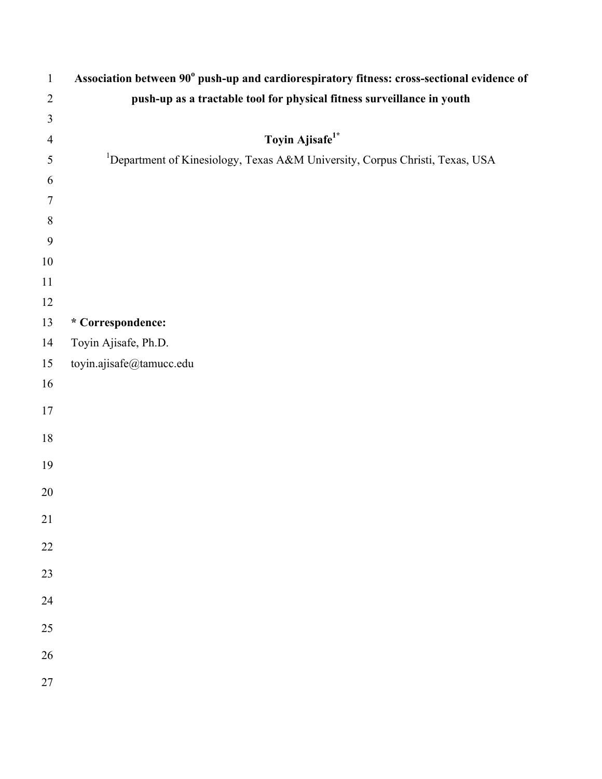| $\mathbf{1}$   | Association between 90° push-up and cardiorespiratory fitness: cross-sectional evidence of |
|----------------|--------------------------------------------------------------------------------------------|
| $\overline{2}$ | push-up as a tractable tool for physical fitness surveillance in youth                     |
| $\mathfrak{Z}$ |                                                                                            |
| $\overline{4}$ | Toyin Ajisafe <sup>1*</sup>                                                                |
| $\mathfrak{S}$ | <sup>1</sup> Department of Kinesiology, Texas A&M University, Corpus Christi, Texas, USA   |
| 6              |                                                                                            |
| 7              |                                                                                            |
| $\,8\,$        |                                                                                            |
| 9              |                                                                                            |
| $10\,$         |                                                                                            |
| 11             |                                                                                            |
| 12             |                                                                                            |
| 13             | * Correspondence:                                                                          |
| 14             | Toyin Ajisafe, Ph.D.                                                                       |
| 15             | toyin.ajisafe@tamucc.edu                                                                   |
| 16             |                                                                                            |
| $17\,$         |                                                                                            |
| $18\,$         |                                                                                            |
|                |                                                                                            |
| 19             |                                                                                            |
| 20             |                                                                                            |
| 21             |                                                                                            |
| 22             |                                                                                            |
|                |                                                                                            |
| 23             |                                                                                            |
| 24             |                                                                                            |
| 25             |                                                                                            |
| 26             |                                                                                            |
| 27             |                                                                                            |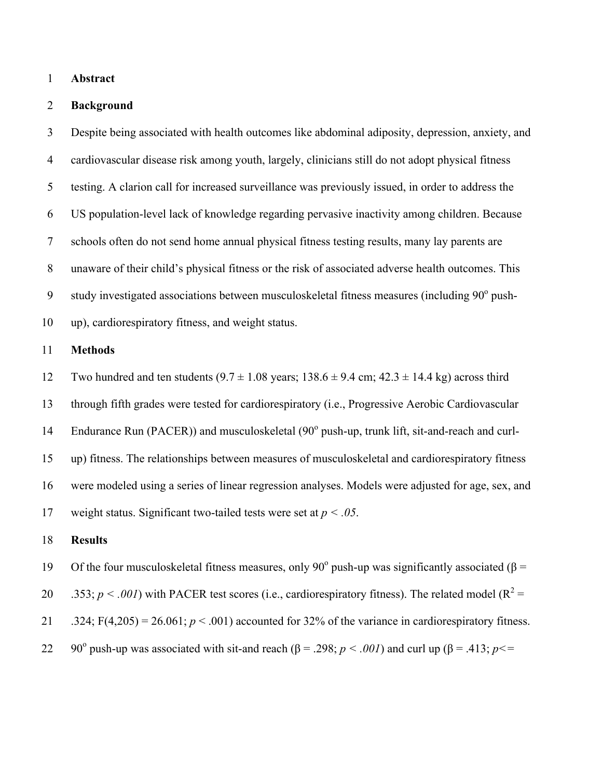## **Abstract**

# **Background**

 Despite being associated with health outcomes like abdominal adiposity, depression, anxiety, and cardiovascular disease risk among youth, largely, clinicians still do not adopt physical fitness testing. A clarion call for increased surveillance was previously issued, in order to address the US population-level lack of knowledge regarding pervasive inactivity among children. Because schools often do not send home annual physical fitness testing results, many lay parents are unaware of their child's physical fitness or the risk of associated adverse health outcomes. This 9 study investigated associations between musculoskeletal fitness measures (including  $90^{\circ}$  push-up), cardiorespiratory fitness, and weight status.

#### **Methods**

12 Two hundred and ten students  $(9.7 \pm 1.08 \text{ years}; 138.6 \pm 9.4 \text{ cm}; 42.3 \pm 14.4 \text{ kg})$  across third

through fifth grades were tested for cardiorespiratory (i.e., Progressive Aerobic Cardiovascular

14 Endurance Run (PACER)) and musculoskeletal  $(90^{\circ}$  push-up, trunk lift, sit-and-reach and curl-

 up) fitness. The relationships between measures of musculoskeletal and cardiorespiratory fitness were modeled using a series of linear regression analyses. Models were adjusted for age, sex, and

weight status. Significant two-tailed tests were set at *p < .05*.

#### **Results**

19 Of the four musculoskeletal fitness measures, only 90<sup>°</sup> push-up was significantly associated (β =

20 .353;  $p < .001$ ) with PACER test scores (i.e., cardiorespiratory fitness). The related model ( $R^2 =$ 

21 .324;  $F(4,205) = 26.061$ ;  $p < .001$ ) accounted for 32% of the variance in cardiorespiratory fitness.

22 90<sup>o</sup> push-up was associated with sit-and reach (β = .298; *p* < *.001*) and curl up (β = .413; *p* <=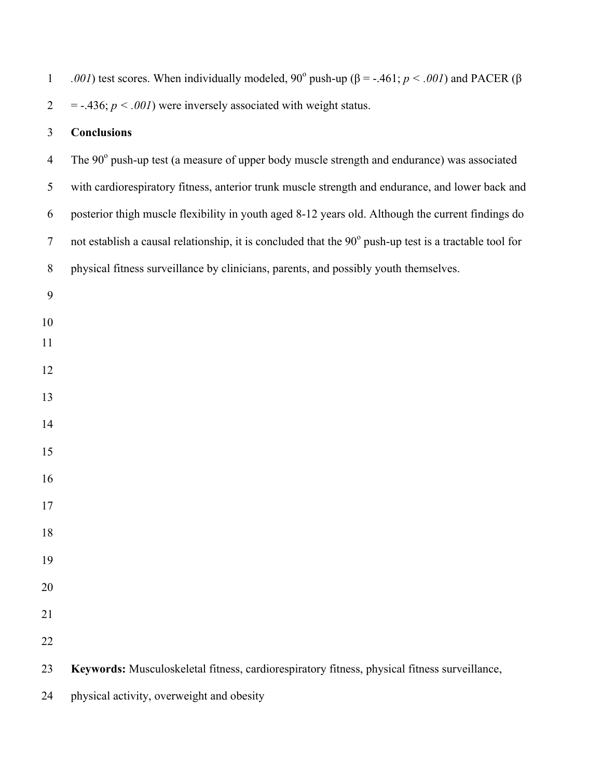| $\mathbf{1}$   | .001) test scores. When individually modeled, 90° push-up ( $\beta$ = -.461; $p < .001$ ) and PACER ( $\beta$ |
|----------------|---------------------------------------------------------------------------------------------------------------|
| $\overline{2}$ | $=$ -.436; $p < .001$ ) were inversely associated with weight status.                                         |
| $\mathfrak{Z}$ | <b>Conclusions</b>                                                                                            |
| $\overline{4}$ | The 90° push-up test (a measure of upper body muscle strength and endurance) was associated                   |
| 5              | with cardiorespiratory fitness, anterior trunk muscle strength and endurance, and lower back and              |
| 6              | posterior thigh muscle flexibility in youth aged 8-12 years old. Although the current findings do             |
| $\tau$         | not establish a causal relationship, it is concluded that the 90° push-up test is a tractable tool for        |
| $\, 8$         | physical fitness surveillance by clinicians, parents, and possibly youth themselves.                          |
| 9              |                                                                                                               |
| 10             |                                                                                                               |
| 11             |                                                                                                               |
| 12             |                                                                                                               |
| 13             |                                                                                                               |
| 14             |                                                                                                               |
| 15             |                                                                                                               |
| 16             |                                                                                                               |
| 17             |                                                                                                               |
| 18             |                                                                                                               |
| 19             |                                                                                                               |
| 20             |                                                                                                               |
| 21             |                                                                                                               |
| 22             |                                                                                                               |
| 23             | Keywords: Musculoskeletal fitness, cardiorespiratory fitness, physical fitness surveillance,                  |
| 24             | physical activity, overweight and obesity                                                                     |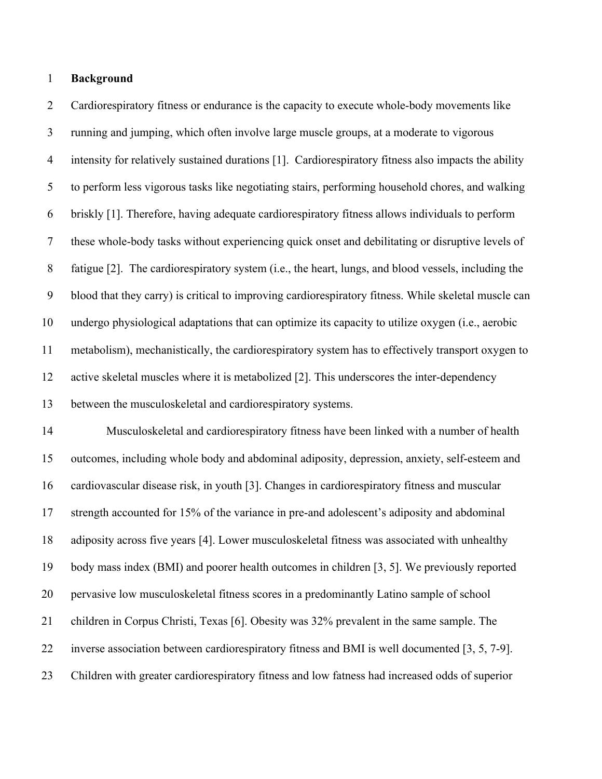## **Background**

 Cardiorespiratory fitness or endurance is the capacity to execute whole-body movements like running and jumping, which often involve large muscle groups, at a moderate to vigorous intensity for relatively sustained durations [1]. Cardiorespiratory fitness also impacts the ability to perform less vigorous tasks like negotiating stairs, performing household chores, and walking briskly [1]. Therefore, having adequate cardiorespiratory fitness allows individuals to perform these whole-body tasks without experiencing quick onset and debilitating or disruptive levels of fatigue [2]. The cardiorespiratory system (i.e., the heart, lungs, and blood vessels, including the blood that they carry) is critical to improving cardiorespiratory fitness. While skeletal muscle can undergo physiological adaptations that can optimize its capacity to utilize oxygen (i.e., aerobic metabolism), mechanistically, the cardiorespiratory system has to effectively transport oxygen to active skeletal muscles where it is metabolized [2]. This underscores the inter-dependency between the musculoskeletal and cardiorespiratory systems.

 Musculoskeletal and cardiorespiratory fitness have been linked with a number of health outcomes, including whole body and abdominal adiposity, depression, anxiety, self-esteem and cardiovascular disease risk, in youth [3]. Changes in cardiorespiratory fitness and muscular strength accounted for 15% of the variance in pre-and adolescent's adiposity and abdominal adiposity across five years [4]. Lower musculoskeletal fitness was associated with unhealthy body mass index (BMI) and poorer health outcomes in children [3, 5]. We previously reported pervasive low musculoskeletal fitness scores in a predominantly Latino sample of school children in Corpus Christi, Texas [6]. Obesity was 32% prevalent in the same sample. The inverse association between cardiorespiratory fitness and BMI is well documented [3, 5, 7-9]. Children with greater cardiorespiratory fitness and low fatness had increased odds of superior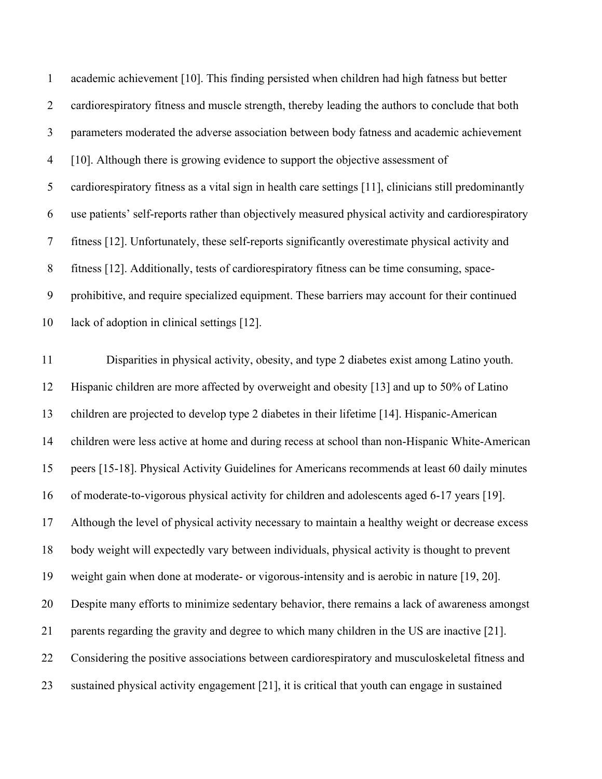academic achievement [10]. This finding persisted when children had high fatness but better 2 cardiorespiratory fitness and muscle strength, thereby leading the authors to conclude that both parameters moderated the adverse association between body fatness and academic achievement [10]. Although there is growing evidence to support the objective assessment of cardiorespiratory fitness as a vital sign in health care settings [11], clinicians still predominantly use patients' self-reports rather than objectively measured physical activity and cardiorespiratory fitness [12]. Unfortunately, these self-reports significantly overestimate physical activity and fitness [12]. Additionally, tests of cardiorespiratory fitness can be time consuming, space- prohibitive, and require specialized equipment. These barriers may account for their continued lack of adoption in clinical settings [12].

 Disparities in physical activity, obesity, and type 2 diabetes exist among Latino youth. Hispanic children are more affected by overweight and obesity [13] and up to 50% of Latino children are projected to develop type 2 diabetes in their lifetime [14]. Hispanic-American children were less active at home and during recess at school than non-Hispanic White-American peers [15-18]. Physical Activity Guidelines for Americans recommends at least 60 daily minutes of moderate-to-vigorous physical activity for children and adolescents aged 6-17 years [19]. Although the level of physical activity necessary to maintain a healthy weight or decrease excess body weight will expectedly vary between individuals, physical activity is thought to prevent weight gain when done at moderate- or vigorous-intensity and is aerobic in nature [19, 20]. Despite many efforts to minimize sedentary behavior, there remains a lack of awareness amongst parents regarding the gravity and degree to which many children in the US are inactive [21]. Considering the positive associations between cardiorespiratory and musculoskeletal fitness and sustained physical activity engagement [21], it is critical that youth can engage in sustained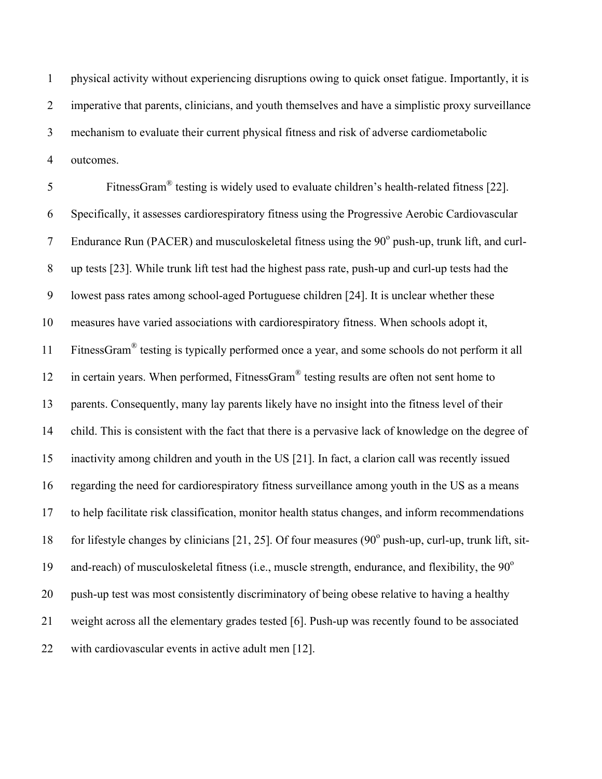physical activity without experiencing disruptions owing to quick onset fatigue. Importantly, it is imperative that parents, clinicians, and youth themselves and have a simplistic proxy surveillance mechanism to evaluate their current physical fitness and risk of adverse cardiometabolic outcomes.

5 FitnessGram<sup>®</sup> testing is widely used to evaluate children's health-related fitness [22]. Specifically, it assesses cardiorespiratory fitness using the Progressive Aerobic Cardiovascular 7 Endurance Run (PACER) and musculoskeletal fitness using the  $90^\circ$  push-up, trunk lift, and curl- up tests [23]. While trunk lift test had the highest pass rate, push-up and curl-up tests had the lowest pass rates among school-aged Portuguese children [24]. It is unclear whether these measures have varied associations with cardiorespiratory fitness. When schools adopt it, 11 FitnessGram<sup>®</sup> testing is typically performed once a year, and some schools do not perform it all 12 in certain years. When performed, FitnessGram<sup>®</sup> testing results are often not sent home to parents. Consequently, many lay parents likely have no insight into the fitness level of their child. This is consistent with the fact that there is a pervasive lack of knowledge on the degree of inactivity among children and youth in the US [21]. In fact, a clarion call was recently issued regarding the need for cardiorespiratory fitness surveillance among youth in the US as a means to help facilitate risk classification, monitor health status changes, and inform recommendations 18 for lifestyle changes by clinicians [21, 25]. Of four measures ( $90^\circ$  push-up, curl-up, trunk lift, sit-19 and-reach) of musculoskeletal fitness (i.e., muscle strength, endurance, and flexibility, the  $90^{\circ}$  push-up test was most consistently discriminatory of being obese relative to having a healthy weight across all the elementary grades tested [6]. Push-up was recently found to be associated with cardiovascular events in active adult men [12].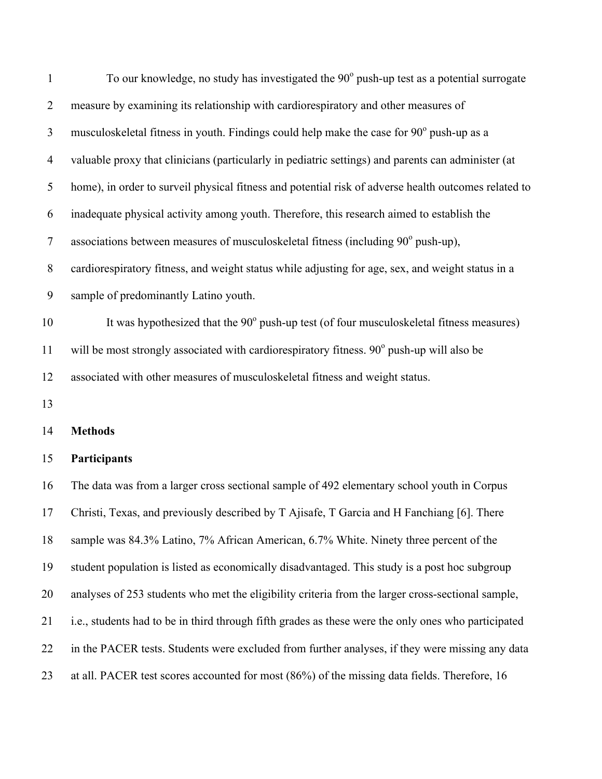| $\mathbf{1}$   | To our knowledge, no study has investigated the 90° push-up test as a potential surrogate            |
|----------------|------------------------------------------------------------------------------------------------------|
| $\overline{2}$ | measure by examining its relationship with cardiorespiratory and other measures of                   |
| 3              | musculoskeletal fitness in youth. Findings could help make the case for 90° push-up as a             |
| $\overline{4}$ | valuable proxy that clinicians (particularly in pediatric settings) and parents can administer (at   |
| 5              | home), in order to surveil physical fitness and potential risk of adverse health outcomes related to |
| 6              | inadequate physical activity among youth. Therefore, this research aimed to establish the            |
| $\overline{7}$ | associations between measures of musculoskeletal fitness (including 90° push-up),                    |
| $8\,$          | cardiorespiratory fitness, and weight status while adjusting for age, sex, and weight status in a    |
| 9              | sample of predominantly Latino youth.                                                                |
| 10             | It was hypothesized that the 90° push-up test (of four musculoskeletal fitness measures)             |
| 11             | will be most strongly associated with cardiorespiratory fitness. 90° push-up will also be            |
| 12             | associated with other measures of musculoskeletal fitness and weight status.                         |
| 13             |                                                                                                      |
| 14             | <b>Methods</b>                                                                                       |
| 15             | Participants                                                                                         |
| 16             | The data was from a larger cross sectional sample of 492 elementary school youth in Corpus           |
| 17             | Christi, Texas, and previously described by T Ajisafe, T Garcia and H Fanchiang [6]. There           |
| 18             | sample was 84.3% Latino, 7% African American, 6.7% White. Ninety three percent of the                |
| 19             | student population is listed as economically disadvantaged. This study is a post hoc subgroup        |
| 20             | analyses of 253 students who met the eligibility criteria from the larger cross-sectional sample,    |
| 21             | i.e., students had to be in third through fifth grades as these were the only ones who participated  |
|                |                                                                                                      |

in the PACER tests. Students were excluded from further analyses, if they were missing any data

at all. PACER test scores accounted for most (86%) of the missing data fields. Therefore, 16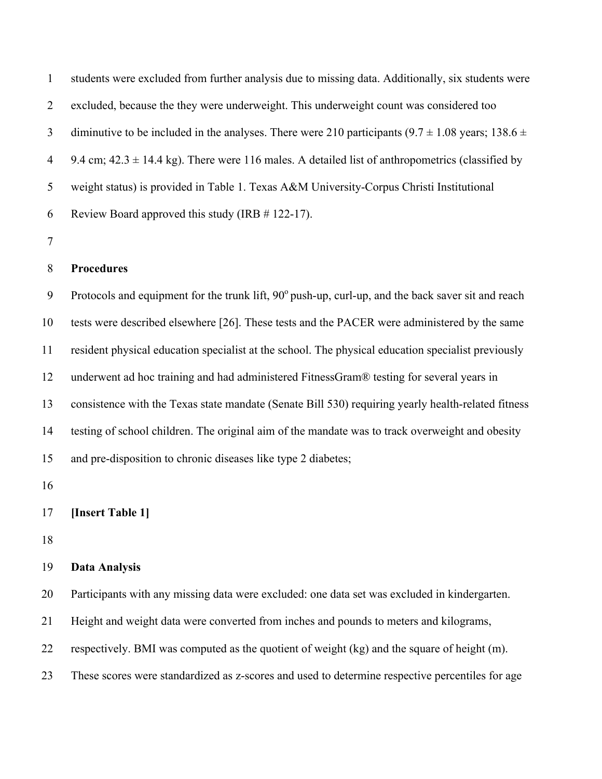students were excluded from further analysis due to missing data. Additionally, six students were excluded, because the they were underweight. This underweight count was considered too 3 diminutive to be included in the analyses. There were 210 participants (9.7  $\pm$  1.08 years; 138.6  $\pm$ 4 9.4 cm;  $42.3 \pm 14.4$  kg). There were 116 males. A detailed list of anthropometrics (classified by weight status) is provided in Table 1. Texas A&M University-Corpus Christi Institutional Review Board approved this study (IRB # 122-17).

## **Procedures**

9 Protocols and equipment for the trunk lift,  $90^{\circ}$  push-up, curl-up, and the back saver sit and reach tests were described elsewhere [26]. These tests and the PACER were administered by the same resident physical education specialist at the school. The physical education specialist previously underwent ad hoc training and had administered FitnessGram® testing for several years in consistence with the Texas state mandate (Senate Bill 530) requiring yearly health-related fitness testing of school children. The original aim of the mandate was to track overweight and obesity and pre-disposition to chronic diseases like type 2 diabetes;

## **[Insert Table 1]**

#### **Data Analysis**

Participants with any missing data were excluded: one data set was excluded in kindergarten.

Height and weight data were converted from inches and pounds to meters and kilograms,

respectively. BMI was computed as the quotient of weight (kg) and the square of height (m).

These scores were standardized as z-scores and used to determine respective percentiles for age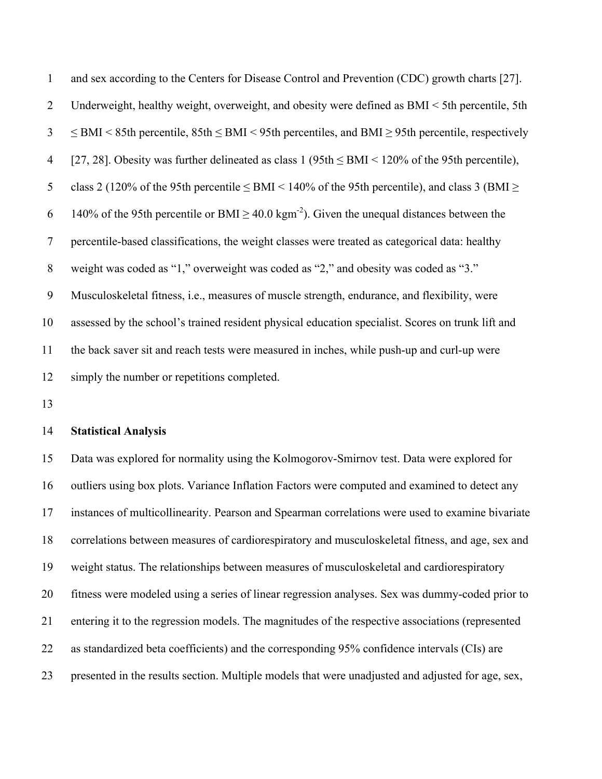| 1              | and sex according to the Centers for Disease Control and Prevention (CDC) growth charts [27].                |
|----------------|--------------------------------------------------------------------------------------------------------------|
| $\overline{2}$ | Underweight, healthy weight, overweight, and obesity were defined as $BMI < 5$ th percentile, 5th            |
| $\overline{3}$ | $\le$ BMI < 85th percentile, 85th $\le$ BMI < 95th percentiles, and BMI $\ge$ 95th percentile, respectively  |
| $\overline{4}$ | [27, 28]. Obesity was further delineated as class $1 (95th \le BMI \le 120\%$ of the 95th percentile),       |
| 5              | class 2 (120% of the 95th percentile $\leq$ BMI $\leq$ 140% of the 95th percentile), and class 3 (BMI $\geq$ |
| 6              | 140% of the 95th percentile or BMI $\geq$ 40.0 kgm <sup>-2</sup> ). Given the unequal distances between the  |
| $\tau$         | percentile-based classifications, the weight classes were treated as categorical data: healthy               |
| 8              | weight was coded as "1," overweight was coded as "2," and obesity was coded as "3."                          |
| 9              | Musculoskeletal fitness, <i>i.e.</i> , measures of muscle strength, endurance, and flexibility, were         |
| 10             | assessed by the school's trained resident physical education specialist. Scores on trunk lift and            |
| 11             | the back saver sit and reach tests were measured in inches, while push-up and curl-up were                   |
| 12             | simply the number or repetitions completed.                                                                  |

#### **Statistical Analysis**

 Data was explored for normality using the Kolmogorov-Smirnov test. Data were explored for outliers using box plots. Variance Inflation Factors were computed and examined to detect any instances of multicollinearity. Pearson and Spearman correlations were used to examine bivariate correlations between measures of cardiorespiratory and musculoskeletal fitness, and age, sex and weight status. The relationships between measures of musculoskeletal and cardiorespiratory fitness were modeled using a series of linear regression analyses. Sex was dummy-coded prior to entering it to the regression models. The magnitudes of the respective associations (represented as standardized beta coefficients) and the corresponding 95% confidence intervals (CIs) are presented in the results section. Multiple models that were unadjusted and adjusted for age, sex,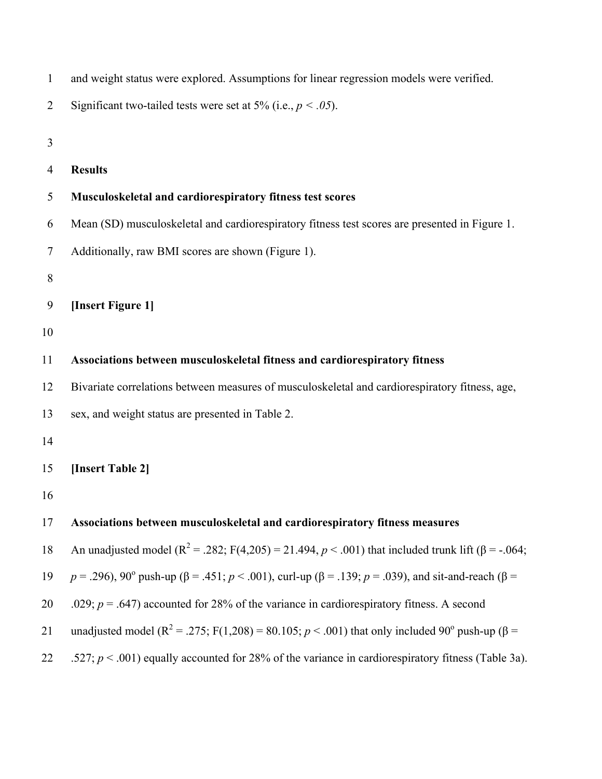| $\mathbf{1}$ | and weight status were explored. Assumptions for linear regression models were verified.                                         |
|--------------|----------------------------------------------------------------------------------------------------------------------------------|
| 2            | Significant two-tailed tests were set at 5% (i.e., $p < .05$ ).                                                                  |
| 3            |                                                                                                                                  |
| 4            | <b>Results</b>                                                                                                                   |
| 5            | Musculoskeletal and cardiorespiratory fitness test scores                                                                        |
| 6            | Mean (SD) musculoskeletal and cardiorespiratory fitness test scores are presented in Figure 1.                                   |
| 7            | Additionally, raw BMI scores are shown (Figure 1).                                                                               |
| 8            |                                                                                                                                  |
| 9            | [Insert Figure 1]                                                                                                                |
| 10           |                                                                                                                                  |
| 11           | Associations between musculoskeletal fitness and cardiorespiratory fitness                                                       |
| 12           | Bivariate correlations between measures of musculoskeletal and cardiorespiratory fitness, age,                                   |
| 13           | sex, and weight status are presented in Table 2.                                                                                 |
| 14           |                                                                                                                                  |
| 15           | [Insert Table 2]                                                                                                                 |
| 16           |                                                                                                                                  |
| 17           | Associations between musculoskeletal and cardiorespiratory fitness measures                                                      |
| 18           | An unadjusted model ( $R^2$ = .282; F(4,205) = 21.494, p < .001) that included trunk lift ( $\beta$ = -.064;                     |
| 19           | $p = .296$ , 90° push-up ( $\beta = .451$ ; $p < .001$ ), curl-up ( $\beta = .139$ ; $p = .039$ ), and sit-and-reach ( $\beta =$ |
| 20           | .029; $p = .647$ ) accounted for 28% of the variance in cardiorespiratory fitness. A second                                      |
| 21           | unadjusted model ( $R^2$ = .275; F(1,208) = 80.105; $p < .001$ ) that only included 90° push-up ( $\beta$ =                      |
| 22           | .527; $p < .001$ ) equally accounted for 28% of the variance in cardiorespiratory fitness (Table 3a).                            |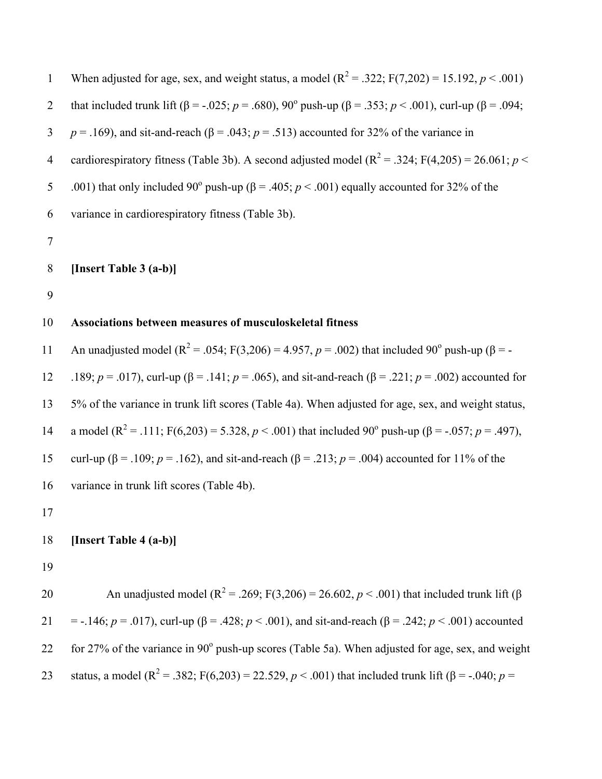When adjusted for age, sex, and weight status, a model  $(R^2 = .322; F(7,202) = 15.192, p < .001)$ that included trunk lift ( $\beta$  = -.025; *p* = .680), 90<sup>o</sup> push-up ( $\beta$  = .353; *p* < .001), curl-up ( $\beta$  = .094; 3 *p* = .169), and sit-and-reach ( $\beta$  = .043; *p* = .513) accounted for 32% of the variance in 4 cardiorespiratory fitness (Table 3b). A second adjusted model  $(R^2 = .324; F(4,205) = 26.061; p <$ .001) that only included 90<sup>°</sup> push-up (β = .405; *p* < .001) equally accounted for 32% of the 6 variance in cardiorespiratory fitness (Table 3b). 7 8 **[Insert Table 3 (a-b)]** 9 10 **Associations between measures of musculoskeletal fitness**  An unadjusted model ( $R^2 = .054$ ; F(3,206) = 4.957, *p* = .002) that included 90<sup>°</sup> push-up ( $\beta$  = -12 .189; *p* = .017), curl-up (β = .141; *p* = .065), and sit-and-reach (β = .221; *p* = .002) accounted for 13 5% of the variance in trunk lift scores (Table 4a). When adjusted for age, sex, and weight status, 14 a model (R<sup>2</sup> = .111; F(6,203) = 5.328, *p* < .001) that included 90<sup>°</sup> push-up (β = -.057; *p* = .497), 15 curl-up (β = .109; *p* = .162), and sit-and-reach (β = .213; *p* = .004) accounted for 11% of the 16 variance in trunk lift scores (Table 4b). 17 18 **[Insert Table 4 (a-b)]** 19 An unadjusted model ( $R^2 = .269$ ; F(3,206) = 26.602, *p* < .001) that included trunk lift (β 21 = -.146;  $p = .017$ ), curl-up ( $\beta = .428$ ;  $p < .001$ ), and sit-and-reach ( $\beta = .242$ ;  $p < .001$ ) accounted 22 for 27% of the variance in  $90^{\circ}$  push-up scores (Table 5a). When adjusted for age, sex, and weight 23 status, a model (R<sup>2</sup> = .382; F(6,203) = 22.529, *p* < .001) that included trunk lift (β = -.040; *p* =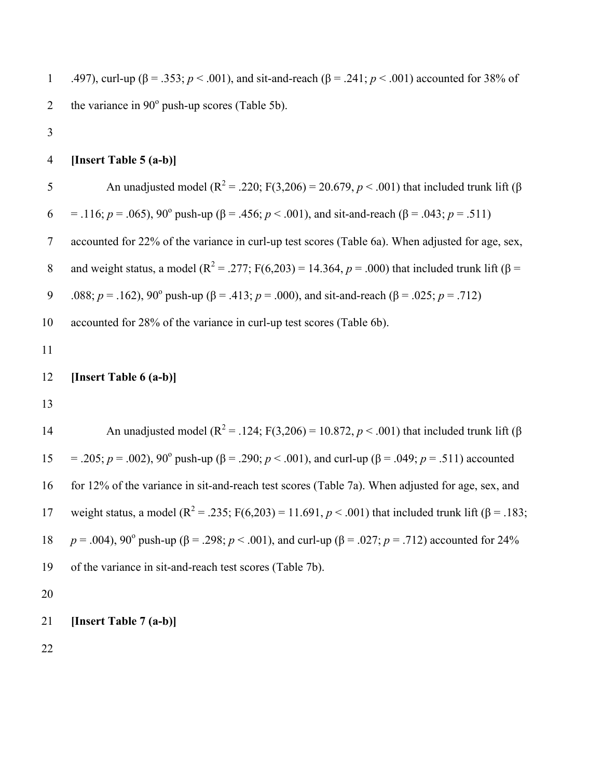1 .497), curl-up (β = .353; *p* < .001), and sit-and-reach (β = .241; *p* < .001) accounted for 38% of 2 the variance in  $90^{\circ}$  push-up scores (Table 5b). 3 4 **[Insert Table 5 (a-b)]** An unadjusted model ( $R^2 = .220$ ; F(3,206) = 20.679, *p* < .001) that included trunk lift (β 6 = .116;  $p = .065$ ),  $90^{\circ}$  push-up ( $\beta = .456$ ;  $p < .001$ ), and sit-and-reach ( $\beta = .043$ ;  $p = .511$ ) 7 accounted for 22% of the variance in curl-up test scores (Table 6a). When adjusted for age, sex, and weight status, a model ( $R^2 = 0.277$ ; F(6,203) = 14.364, *p* = .000) that included trunk lift (β = 9 .088;  $p = .162$ ),  $90^{\circ}$  push-up ( $\beta = .413$ ;  $p = .000$ ), and sit-and-reach ( $\beta = .025$ ;  $p = .712$ ) 10 accounted for 28% of the variance in curl-up test scores (Table 6b). 11 12 **[Insert Table 6 (a-b)]** 13 An unadjusted model ( $R^2$  = .124; F(3,206) = 10.872, *p* < .001) that included trunk lift (β  $15 = 0.205$ ; *p* = .002), 90<sup>o</sup> push-up (β = .290; *p* < .001), and curl-up (β = .049; *p* = .511) accounted 16 for 12% of the variance in sit-and-reach test scores (Table 7a). When adjusted for age, sex, and 17 weight status, a model (R<sup>2</sup> = .235; F(6,203) = 11.691, *p* < .001) that included trunk lift (β = .183; 18 *p* = .004), 90<sup>o</sup> push-up (β = .298; *p* < .001), and curl-up (β = .027; *p* = .712) accounted for 24% 19 of the variance in sit-and-reach test scores (Table 7b). 20 21 **[Insert Table 7 (a-b)]**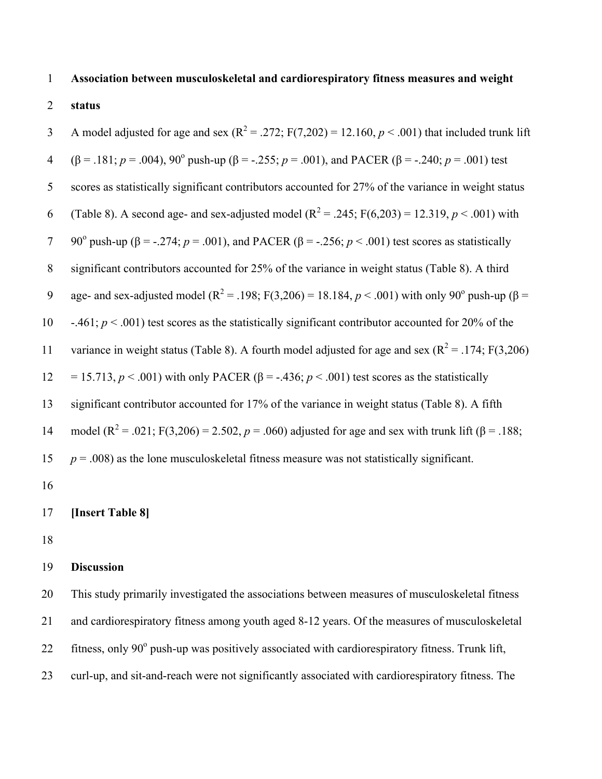# 1 **Association between musculoskeletal and cardiorespiratory fitness measures and weight**

# 2 **status**

A model adjusted for age and sex  $(R^2 = .272; F(7,202) = 12.160, p < .001)$  that included trunk lift 4 (β = .181;  $p = .004$ ),  $90^{\circ}$  push-up (β = -.255;  $p = .001$ ), and PACER (β = -.240;  $p = .001$ ) test 5 scores as statistically significant contributors accounted for 27% of the variance in weight status 6 (Table 8). A second age- and sex-adjusted model  $(R^2 = .245; F(6,203) = 12.319, p < .001)$  with 7 90<sup>o</sup> push-up (β = -.274; *p* = .001), and PACER (β = -.256; *p* < .001) test scores as statistically 8 significant contributors accounted for 25% of the variance in weight status (Table 8). A third 9 age- and sex-adjusted model (R<sup>2</sup> = .198; F(3,206) = 18.184, *p* < .001) with only 90<sup>°</sup> push-up (β = 10 -.461; *p* < .001) test scores as the statistically significant contributor accounted for 20% of the 11 variance in weight status (Table 8). A fourth model adjusted for age and sex  $(R^2 = .174; F(3,206))$ 12 = 15.713,  $p < .001$ ) with only PACER ( $\beta$  = -.436;  $p < .001$ ) test scores as the statistically 13 significant contributor accounted for 17% of the variance in weight status (Table 8). A fifth 14 model (R<sup>2</sup> = .021; F(3,206) = 2.502, *p* = .060) adjusted for age and sex with trunk lift (β = .188; 15  $p = .008$ ) as the lone musculoskeletal fitness measure was not statistically significant. 16

## 17 **[Insert Table 8]**

18

#### 19 **Discussion**

 This study primarily investigated the associations between measures of musculoskeletal fitness and cardiorespiratory fitness among youth aged 8-12 years. Of the measures of musculoskeletal 22 fitness, only  $90^{\circ}$  push-up was positively associated with cardiorespiratory fitness. Trunk lift, curl-up, and sit-and-reach were not significantly associated with cardiorespiratory fitness. The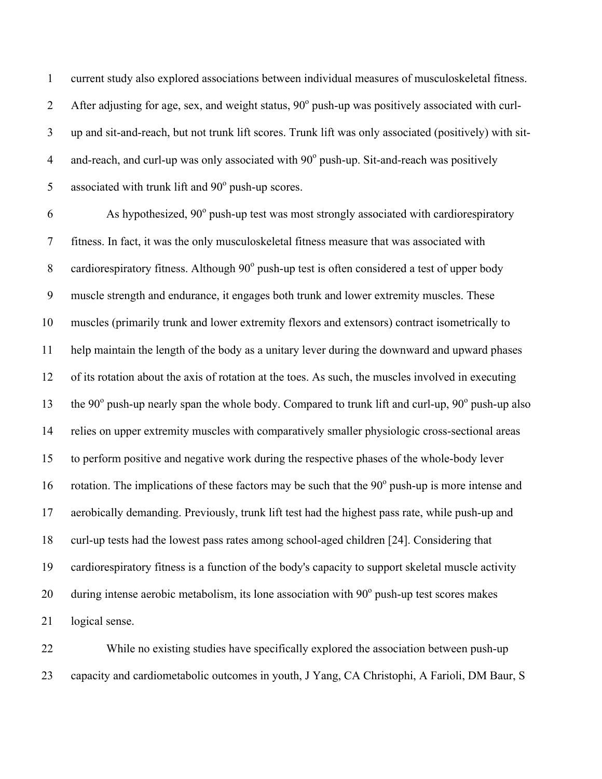current study also explored associations between individual measures of musculoskeletal fitness. After adjusting for age, sex, and weight status,  $90^{\circ}$  push-up was positively associated with curl- up and sit-and-reach, but not trunk lift scores. Trunk lift was only associated (positively) with sit-4 and-reach, and curl-up was only associated with  $90^\circ$  push-up. Sit-and-reach was positively 5 associated with trunk lift and  $90^\circ$  push-up scores.

6 As hypothesized,  $90^{\circ}$  push-up test was most strongly associated with cardiorespiratory fitness. In fact, it was the only musculoskeletal fitness measure that was associated with 8 cardiorespiratory fitness. Although  $90^\circ$  push-up test is often considered a test of upper body muscle strength and endurance, it engages both trunk and lower extremity muscles. These muscles (primarily trunk and lower extremity flexors and extensors) contract isometrically to help maintain the length of the body as a unitary lever during the downward and upward phases of its rotation about the axis of rotation at the toes. As such, the muscles involved in executing 13 the  $90^\circ$  push-up nearly span the whole body. Compared to trunk lift and curl-up,  $90^\circ$  push-up also relies on upper extremity muscles with comparatively smaller physiologic cross-sectional areas to perform positive and negative work during the respective phases of the whole-body lever 16 rotation. The implications of these factors may be such that the  $90^{\circ}$  push-up is more intense and aerobically demanding. Previously, trunk lift test had the highest pass rate, while push-up and curl-up tests had the lowest pass rates among school-aged children [24]. Considering that cardiorespiratory fitness is a function of the body's capacity to support skeletal muscle activity 20 during intense aerobic metabolism, its lone association with  $90^\circ$  push-up test scores makes logical sense.

 While no existing studies have specifically explored the association between push-up capacity and cardiometabolic outcomes in youth, J Yang, CA Christophi, A Farioli, DM Baur, S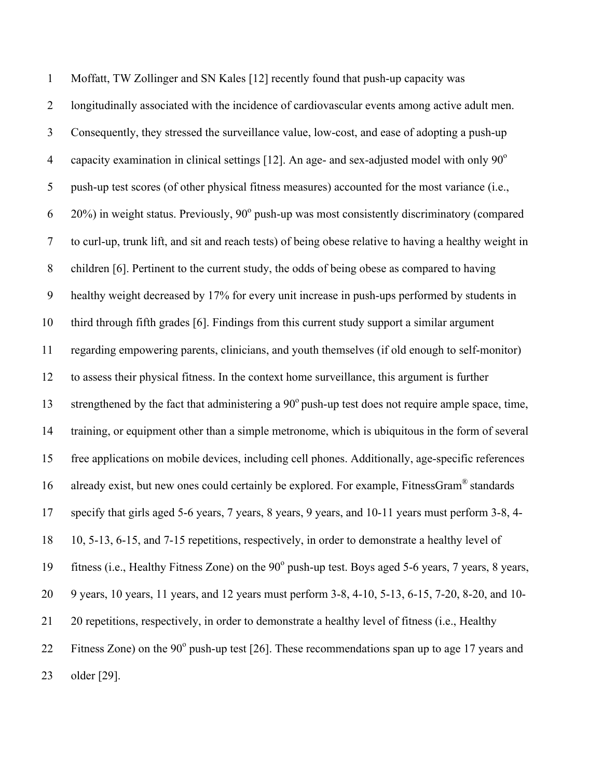Moffatt, TW Zollinger and SN Kales [12] recently found that push-up capacity was longitudinally associated with the incidence of cardiovascular events among active adult men. Consequently, they stressed the surveillance value, low-cost, and ease of adopting a push-up 4 capacity examination in clinical settings [12]. An age- and sex-adjusted model with only  $90^\circ$  push-up test scores (of other physical fitness measures) accounted for the most variance (i.e.,  $6-20\%$ ) in weight status. Previously,  $90^{\circ}$  push-up was most consistently discriminatory (compared to curl-up, trunk lift, and sit and reach tests) of being obese relative to having a healthy weight in children [6]. Pertinent to the current study, the odds of being obese as compared to having healthy weight decreased by 17% for every unit increase in push-ups performed by students in third through fifth grades [6]. Findings from this current study support a similar argument regarding empowering parents, clinicians, and youth themselves (if old enough to self-monitor) to assess their physical fitness. In the context home surveillance, this argument is further 13 strengthened by the fact that administering a  $90^{\circ}$  push-up test does not require ample space, time, training, or equipment other than a simple metronome, which is ubiquitous in the form of several free applications on mobile devices, including cell phones. Additionally, age-specific references 16 already exist, but new ones could certainly be explored. For example, FitnessGram<sup>®</sup> standards specify that girls aged 5-6 years, 7 years, 8 years, 9 years, and 10-11 years must perform 3-8, 4- 10, 5-13, 6-15, and 7-15 repetitions, respectively, in order to demonstrate a healthy level of 19 fitness (i.e., Healthy Fitness Zone) on the  $90^\circ$  push-up test. Boys aged 5-6 years, 7 years, 8 years, 9 years, 10 years, 11 years, and 12 years must perform 3-8, 4-10, 5-13, 6-15, 7-20, 8-20, and 10- 20 repetitions, respectively, in order to demonstrate a healthy level of fitness (i.e., Healthy 22 Fitness Zone) on the  $90^{\circ}$  push-up test [26]. These recommendations span up to age 17 years and older [29].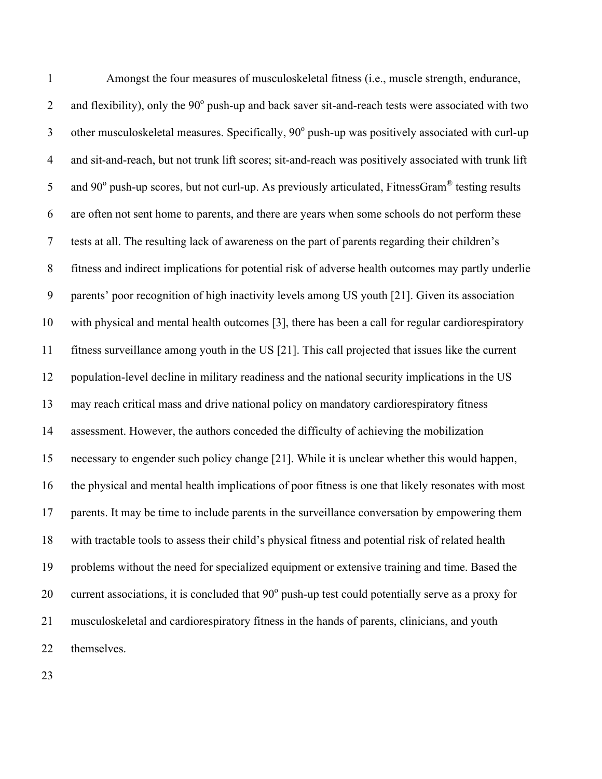Amongst the four measures of musculoskeletal fitness (i.e., muscle strength, endurance, 2 and flexibility), only the  $90^{\circ}$  push-up and back saver sit-and-reach tests were associated with two 3 other musculoskeletal measures. Specifically,  $90^{\circ}$  push-up was positively associated with curl-up and sit-and-reach, but not trunk lift scores; sit-and-reach was positively associated with trunk lift 5 and 90 $^{\circ}$  push-up scores, but not curl-up. As previously articulated, FitnessGram<sup>®</sup> testing results are often not sent home to parents, and there are years when some schools do not perform these tests at all. The resulting lack of awareness on the part of parents regarding their children's fitness and indirect implications for potential risk of adverse health outcomes may partly underlie parents' poor recognition of high inactivity levels among US youth [21]. Given its association with physical and mental health outcomes [3], there has been a call for regular cardiorespiratory fitness surveillance among youth in the US [21]. This call projected that issues like the current population-level decline in military readiness and the national security implications in the US may reach critical mass and drive national policy on mandatory cardiorespiratory fitness assessment. However, the authors conceded the difficulty of achieving the mobilization necessary to engender such policy change [21]. While it is unclear whether this would happen, the physical and mental health implications of poor fitness is one that likely resonates with most parents. It may be time to include parents in the surveillance conversation by empowering them with tractable tools to assess their child's physical fitness and potential risk of related health problems without the need for specialized equipment or extensive training and time. Based the 20 current associations, it is concluded that  $90^{\circ}$  push-up test could potentially serve as a proxy for musculoskeletal and cardiorespiratory fitness in the hands of parents, clinicians, and youth themselves.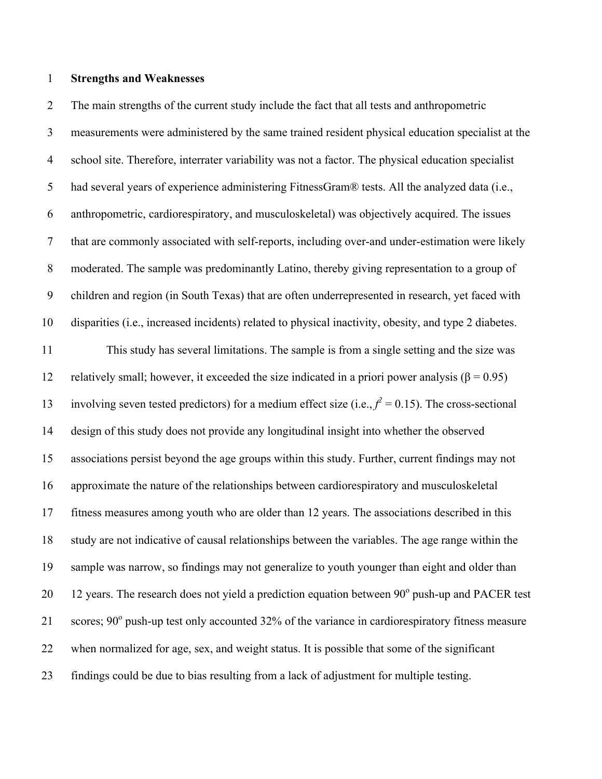# **Strengths and Weaknesses**

 The main strengths of the current study include the fact that all tests and anthropometric measurements were administered by the same trained resident physical education specialist at the school site. Therefore, interrater variability was not a factor. The physical education specialist had several years of experience administering FitnessGram® tests. All the analyzed data (i.e., anthropometric, cardiorespiratory, and musculoskeletal) was objectively acquired. The issues that are commonly associated with self-reports, including over-and under-estimation were likely moderated. The sample was predominantly Latino, thereby giving representation to a group of children and region (in South Texas) that are often underrepresented in research, yet faced with disparities (i.e., increased incidents) related to physical inactivity, obesity, and type 2 diabetes. This study has several limitations. The sample is from a single setting and the size was 12 relatively small; however, it exceeded the size indicated in a priori power analysis ( $\beta$  = 0.95) 13 involving seven tested predictors) for a medium effect size (i.e.,  $f^2 = 0.15$ ). The cross-sectional design of this study does not provide any longitudinal insight into whether the observed associations persist beyond the age groups within this study. Further, current findings may not approximate the nature of the relationships between cardiorespiratory and musculoskeletal fitness measures among youth who are older than 12 years. The associations described in this study are not indicative of causal relationships between the variables. The age range within the sample was narrow, so findings may not generalize to youth younger than eight and older than 20 12 years. The research does not yield a prediction equation between  $90^{\circ}$  push-up and PACER test 21 scores;  $90^{\circ}$  push-up test only accounted 32% of the variance in cardiorespiratory fitness measure when normalized for age, sex, and weight status. It is possible that some of the significant findings could be due to bias resulting from a lack of adjustment for multiple testing.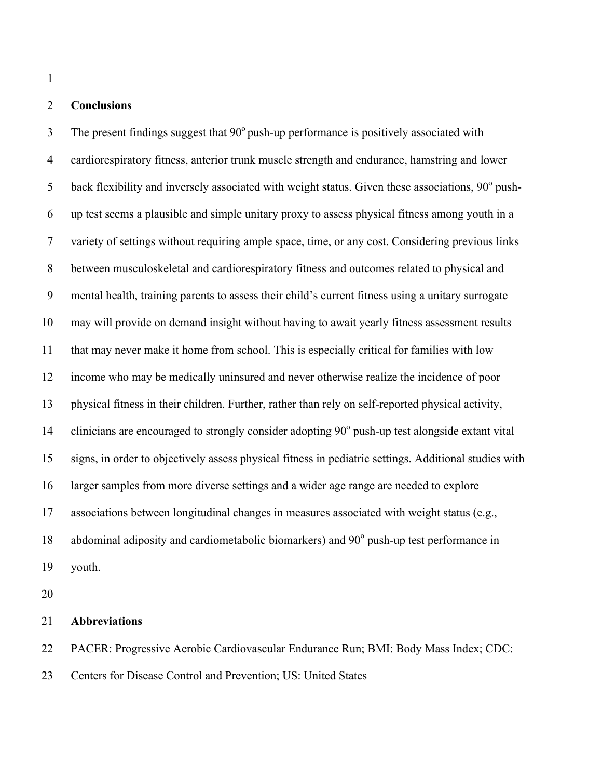# **Conclusions**

 The present findings suggest that  $90^{\circ}$  push-up performance is positively associated with cardiorespiratory fitness, anterior trunk muscle strength and endurance, hamstring and lower 5 back flexibility and inversely associated with weight status. Given these associations,  $90^{\circ}$  push- up test seems a plausible and simple unitary proxy to assess physical fitness among youth in a variety of settings without requiring ample space, time, or any cost. Considering previous links between musculoskeletal and cardiorespiratory fitness and outcomes related to physical and mental health, training parents to assess their child's current fitness using a unitary surrogate may will provide on demand insight without having to await yearly fitness assessment results that may never make it home from school. This is especially critical for families with low income who may be medically uninsured and never otherwise realize the incidence of poor physical fitness in their children. Further, rather than rely on self-reported physical activity, 14 clinicians are encouraged to strongly consider adopting  $90^{\circ}$  push-up test alongside extant vital signs, in order to objectively assess physical fitness in pediatric settings. Additional studies with larger samples from more diverse settings and a wider age range are needed to explore associations between longitudinal changes in measures associated with weight status (e.g., 18 abdominal adiposity and cardiometabolic biomarkers) and  $90^{\circ}$  push-up test performance in youth.

## **Abbreviations**

PACER: Progressive Aerobic Cardiovascular Endurance Run; BMI: Body Mass Index; CDC:

Centers for Disease Control and Prevention; US: United States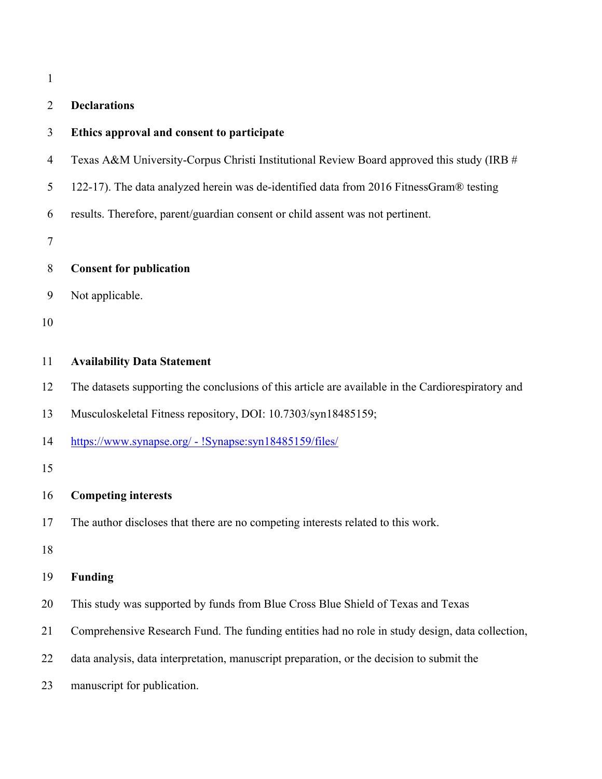| н |
|---|
|   |

# **Declarations**

|  | 3 | Ethics approval and consent to participate |  |  |  |
|--|---|--------------------------------------------|--|--|--|
|--|---|--------------------------------------------|--|--|--|

- Texas A&M University-Corpus Christi Institutional Review Board approved this study (IRB #
- 122-17). The data analyzed herein was de-identified data from 2016 FitnessGram® testing
- results. Therefore, parent/guardian consent or child assent was not pertinent.

| 8 |  |  | <b>Consent for publication</b> |
|---|--|--|--------------------------------|
|---|--|--|--------------------------------|

Not applicable.

#### **Availability Data Statement**

- The datasets supporting the conclusions of this article are available in the Cardiorespiratory and
- Musculoskeletal Fitness repository, DOI: 10.7303/syn18485159;
- https://www.synapse.org/ !Synapse:syn18485159/files/

# **Competing interests**

The author discloses that there are no competing interests related to this work.

#### **Funding**

- This study was supported by funds from Blue Cross Blue Shield of Texas and Texas
- Comprehensive Research Fund. The funding entities had no role in study design, data collection,
- data analysis, data interpretation, manuscript preparation, or the decision to submit the
- manuscript for publication.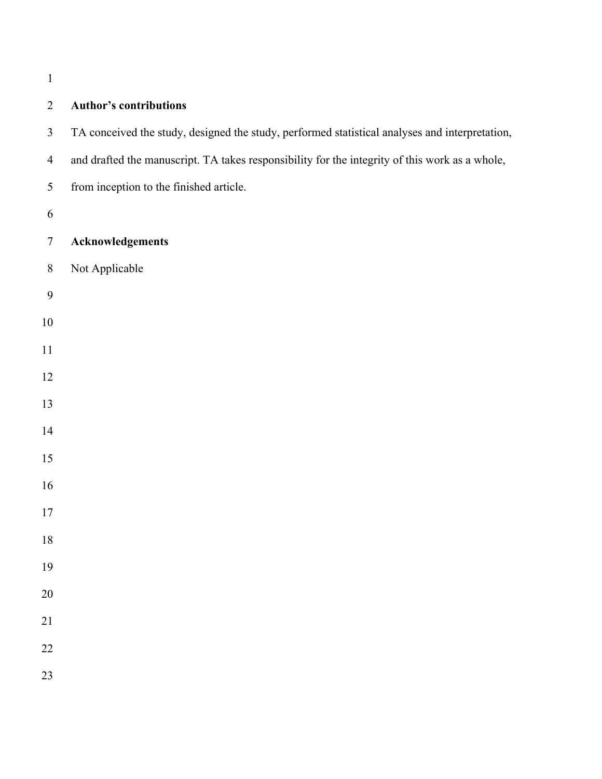| <b>Author's contributions</b>                                                                  |
|------------------------------------------------------------------------------------------------|
| TA conceived the study, designed the study, performed statistical analyses and interpretation, |
| and drafted the manuscript. TA takes responsibility for the integrity of this work as a whole, |
| from inception to the finished article.                                                        |
|                                                                                                |
| Acknowledgements                                                                               |
| Not Applicable                                                                                 |
|                                                                                                |
|                                                                                                |
|                                                                                                |
|                                                                                                |
|                                                                                                |
|                                                                                                |
|                                                                                                |
|                                                                                                |
|                                                                                                |
|                                                                                                |
|                                                                                                |
|                                                                                                |
|                                                                                                |
|                                                                                                |
|                                                                                                |
|                                                                                                |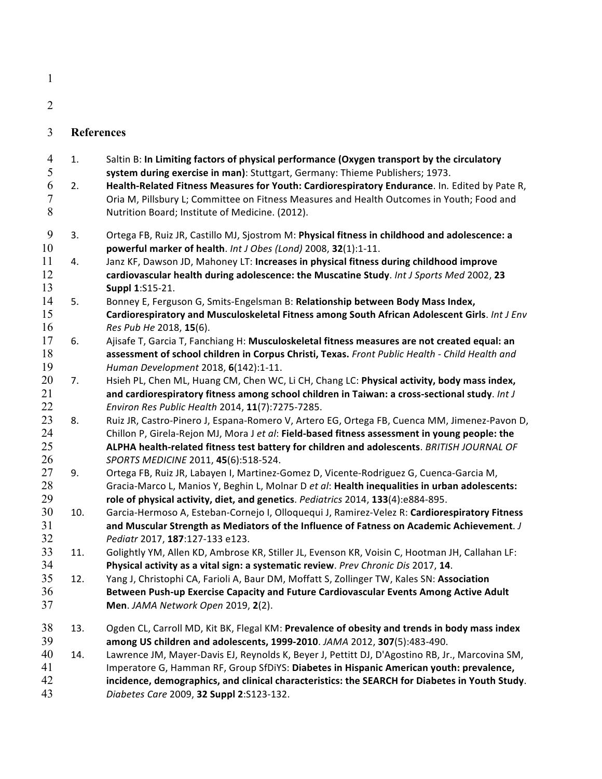| н |
|---|
|   |

- 3 **References**
- 4 1. Saltin B: In Limiting factors of physical performance (Oxygen transport by the circulatory 5 **system during exercise in man)**: Stuttgart, Germany: Thieme Publishers; 1973. 6 2. **Health-Related Fitness Measures for Youth: Cardiorespiratory Endurance**. In*.* Edited by Pate R, 7 Cria M, Pillsbury L; Committee on Fitness Measures and Health Outcomes in Youth; Food and 8 Nutrition Board; Institute of Medicine. (2012). 9 3. Ortega FB, Ruiz JR, Castillo MJ, Sjostrom M: Physical fitness in childhood and adolescence: a 10 **powerful marker of health**. *Int J Obes (Lond)* 2008, **32**(1):1-11. 11 4. Janz KF, Dawson JD, Mahoney LT: **Increases in physical fitness during childhood improve** 12 cardiovascular health during adolescence: the Muscatine Study. Int J Sports Med 2002, 23 13 **Suppl 1:**S15-21. 14 5. Bonney E, Ferguson G, Smits-Engelsman B: **Relationship between Body Mass Index,** 15 **Cardiorespiratory and Musculoskeletal Fitness among South African Adolescent Girls.** *Int J Env* 16 **Res** Pub He 2018, **15**(6). 17 6. Ajisafe T, Garcia T, Fanchiang H: Musculoskeletal fitness measures are not created equal: an 18 **assessment of school children in Corpus Christi, Texas.** Front Public Health - Child Health and 19 *Human Development* 2018, **6**(142):1-11. 20 7. Hsieh PL, Chen ML, Huang CM, Chen WC, Li CH, Chang LC: **Physical activity, body mass index,** 21 and cardiorespiratory fitness among school children in Taiwan: a cross-sectional study. Int J 22 *Environ Res Public Health* 2014, **11**(7):7275-7285. 23 8. Ruiz JR, Castro-Pinero J, Espana-Romero V, Artero EG, Ortega FB, Cuenca MM, Jimenez-Pavon D, 24 Chillon P, Girela-Rejon MJ, Mora J et al: Field-based fitness assessment in young people: the 25 **ALPHA health-related fitness test battery for children and adolescents**. *BRITISH JOURNAL OF* 26 **SPORTS MEDICINE 2011, 45(6):518-524.** 27 9. Ortega FB, Ruiz JR, Labayen I, Martinez-Gomez D, Vicente-Rodriguez G, Cuenca-Garcia M, 28 Gracia-Marco L, Manios Y, Beghin L, Molnar D *et al*: **Health inequalities in urban adolescents:** 29 **role of physical activity, diet, and genetics**. *Pediatrics* 2014, 133(4):e884-895. 30 10. Garcia-Hermoso A, Esteban-Cornejo I, Olloquequi J, Ramirez-Velez R: Cardiorespiratory Fitness 31 **and Muscular Strength as Mediators of the Influence of Fatness on Academic Achievement**. *J* 32 *Pediatr* 2017, **187**:127-133 e123. 33 11. Golightly YM, Allen KD, Ambrose KR, Stiller JL, Evenson KR, Voisin C, Hootman JH, Callahan LF: 34 **Physical activity as a vital sign: a systematic review**. *Prev Chronic Dis* 2017, 14. 35 12. Yang J, Christophi CA, Farioli A, Baur DM, Moffatt S, Zollinger TW, Kales SN: Association 36 **Between Push-up Exercise Capacity and Future Cardiovascular Events Among Active Adult** 37 **Men**. *JAMA* Network Open 2019, **2**(2). 38 13. Ogden CL, Carroll MD, Kit BK, Flegal KM: Prevalence of obesity and trends in body mass index 39 **among US children and adolescents, 1999-2010**. *JAMA* 2012, **307**(5):483-490. 40 14. Lawrence JM, Mayer-Davis EJ, Reynolds K, Beyer J, Pettitt DJ, D'Agostino RB, Jr., Marcovina SM, 41 Imperatore G, Hamman RF, Group SfDiYS: Diabetes in Hispanic American youth: prevalence, 42 **incidence, demographics, and clinical characteristics: the SEARCH for Diabetes in Youth Study.** 43 *Diabetes Care* 2009, **32 Suppl 2**:S123-132.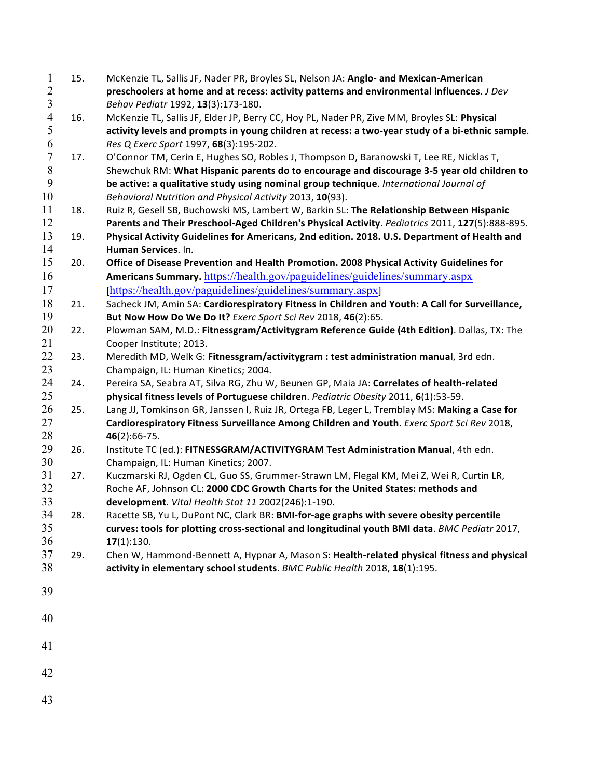| $\mathbf{1}$            | 15. | McKenzie TL, Sallis JF, Nader PR, Broyles SL, Nelson JA: Anglo- and Mexican-American             |
|-------------------------|-----|--------------------------------------------------------------------------------------------------|
| $\overline{c}$          |     | preschoolers at home and at recess: activity patterns and environmental influences. J Dev        |
| $\overline{\mathbf{3}}$ |     | Behav Pediatr 1992, 13(3):173-180.                                                               |
| $\overline{4}$          | 16. | McKenzie TL, Sallis JF, Elder JP, Berry CC, Hoy PL, Nader PR, Zive MM, Broyles SL: Physical      |
| 5                       |     | activity levels and prompts in young children at recess: a two-year study of a bi-ethnic sample. |
| 6                       |     | Res Q Exerc Sport 1997, 68(3):195-202.                                                           |
| $\overline{7}$          | 17. | O'Connor TM, Cerin E, Hughes SO, Robles J, Thompson D, Baranowski T, Lee RE, Nicklas T,          |
| $\,$ $\,$               |     | Shewchuk RM: What Hispanic parents do to encourage and discourage 3-5 year old children to       |
| 9                       |     | be active: a qualitative study using nominal group technique. International Journal of           |
| 10                      |     | Behavioral Nutrition and Physical Activity 2013, 10(93).                                         |
| 11                      | 18. | Ruiz R, Gesell SB, Buchowski MS, Lambert W, Barkin SL: The Relationship Between Hispanic         |
| 12                      |     | Parents and Their Preschool-Aged Children's Physical Activity. Pediatrics 2011, 127(5):888-895.  |
| 13                      | 19. | Physical Activity Guidelines for Americans, 2nd edition. 2018. U.S. Department of Health and     |
| 14                      |     | Human Services. In.                                                                              |
| 15                      | 20. | Office of Disease Prevention and Health Promotion. 2008 Physical Activity Guidelines for         |
| 16                      |     |                                                                                                  |
|                         |     | Americans Summary. https://health.gov/paguidelines/guidelines/summary.aspx                       |
| 17                      |     | [https://health.gov/paguidelines/guidelines/summary.aspx]                                        |
| 18                      | 21. | Sacheck JM, Amin SA: Cardiorespiratory Fitness in Children and Youth: A Call for Surveillance,   |
| 19                      |     | But Now How Do We Do It? Exerc Sport Sci Rev 2018, 46(2):65.                                     |
| 20                      | 22. | Plowman SAM, M.D.: Fitnessgram/Activitygram Reference Guide (4th Edition). Dallas, TX: The       |
| 21                      |     | Cooper Institute; 2013.                                                                          |
| 22                      | 23. | Meredith MD, Welk G: Fitnessgram/activitygram : test administration manual, 3rd edn.             |
| 23                      |     | Champaign, IL: Human Kinetics; 2004.                                                             |
| 24                      | 24. | Pereira SA, Seabra AT, Silva RG, Zhu W, Beunen GP, Maia JA: Correlates of health-related         |
| 25                      |     | physical fitness levels of Portuguese children. Pediatric Obesity 2011, 6(1):53-59.              |
| 26                      | 25. | Lang JJ, Tomkinson GR, Janssen I, Ruiz JR, Ortega FB, Leger L, Tremblay MS: Making a Case for    |
| 27                      |     | Cardiorespiratory Fitness Surveillance Among Children and Youth. Exerc Sport Sci Rev 2018,       |
| 28                      |     | $46(2):66-75.$                                                                                   |
| 29                      | 26. | Institute TC (ed.): FITNESSGRAM/ACTIVITYGRAM Test Administration Manual, 4th edn.                |
| 30                      |     | Champaign, IL: Human Kinetics; 2007.                                                             |
| 31                      | 27. | Kuczmarski RJ, Ogden CL, Guo SS, Grummer-Strawn LM, Flegal KM, Mei Z, Wei R, Curtin LR,          |
| 32                      |     | Roche AF, Johnson CL: 2000 CDC Growth Charts for the United States: methods and                  |
| 33                      |     | development. Vital Health Stat 11 2002(246):1-190.                                               |
| 34                      | 28. | Racette SB, Yu L, DuPont NC, Clark BR: BMI-for-age graphs with severe obesity percentile         |
| 35                      |     | curves: tools for plotting cross-sectional and longitudinal youth BMI data. BMC Pediatr 2017,    |
| 36                      |     | 17(1):130.                                                                                       |
| 37                      | 29. | Chen W, Hammond-Bennett A, Hypnar A, Mason S: Health-related physical fitness and physical       |
| 38                      |     | activity in elementary school students. BMC Public Health 2018, 18(1):195.                       |
|                         |     |                                                                                                  |
| 39                      |     |                                                                                                  |
|                         |     |                                                                                                  |
| 40                      |     |                                                                                                  |
|                         |     |                                                                                                  |
| 41                      |     |                                                                                                  |
|                         |     |                                                                                                  |
| 42                      |     |                                                                                                  |
|                         |     |                                                                                                  |
| 43                      |     |                                                                                                  |
|                         |     |                                                                                                  |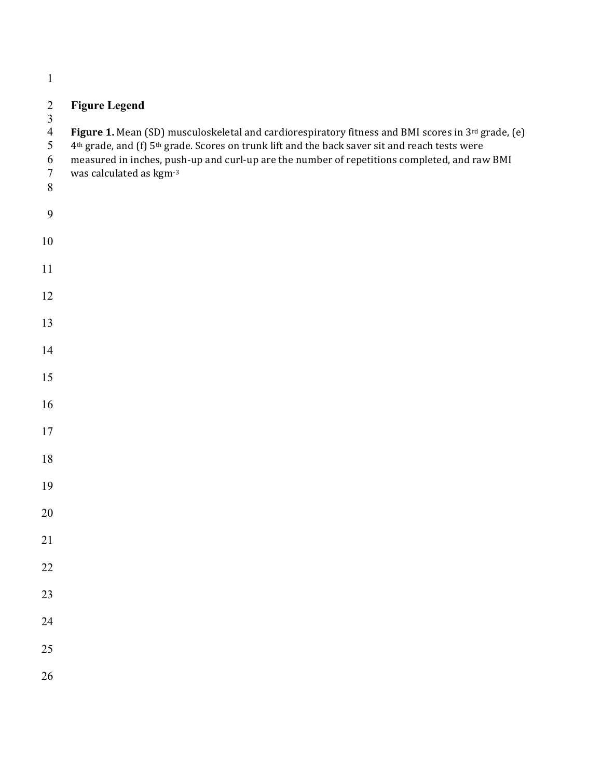# **Figure Legend**

 $\frac{3}{4}$ 

4 **Figure 1.** Mean (SD) musculoskeletal and cardiorespiratory fitness and BMI scores in 3<sup>rd</sup> grade, (e)  $4<sup>th</sup>$  grade, and (f) 5<sup>th</sup> grade. Scores on trunk lift and the back saver sit and reach tests were

- 5  $4<sup>th</sup>$  grade, and (f)  $5<sup>th</sup>$  grade. Scores on trunk lift and the back saver sit and reach tests were<br>6 measured in inches, push-up and curl-up are the number of repetitions completed, and rav
- 6 measured in inches, push-up and curl-up are the number of repetitions completed, and raw BMI was calculated as  $kgm^{-3}$
- was calculated as  $kgm-3$
- 
- 
- 
- 
- 
- 
- 
- 
- 
- 
- 
- 
- 
- 
- 
- 
- 
- 
- 
- 
- 
- 
- 
- 
-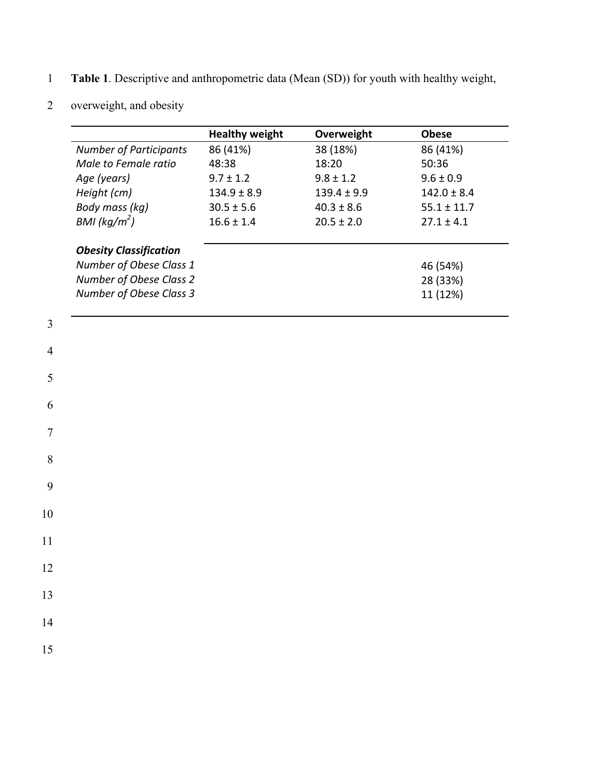- 1 **Table 1**. Descriptive and anthropometric data (Mean (SD)) for youth with healthy weight,
- 2 overweight, and obesity

|                               | <b>Healthy weight</b> | Overweight      | <b>Obese</b>    |
|-------------------------------|-----------------------|-----------------|-----------------|
| <b>Number of Participants</b> | 86 (41%)              | 38 (18%)        | 86 (41%)        |
| Male to Female ratio          | 48:38                 | 18:20           | 50:36           |
| Age (years)                   | $9.7 \pm 1.2$         | $9.8 \pm 1.2$   | $9.6 \pm 0.9$   |
| Height (cm)                   | $134.9 \pm 8.9$       | $139.4 \pm 9.9$ | $142.0 \pm 8.4$ |
| Body mass (kg)                | $30.5 \pm 5.6$        | $40.3 \pm 8.6$  | $55.1 \pm 11.7$ |
| BMI ( $kg/m2$ )               | $16.6 \pm 1.4$        | $20.5 \pm 2.0$  | $27.1 \pm 4.1$  |
| <b>Obesity Classification</b> |                       |                 |                 |
| Number of Obese Class 1       |                       |                 | 46 (54%)        |
| Number of Obese Class 2       |                       |                 | 28 (33%)        |
| Number of Obese Class 3       |                       |                 | 11 (12%)        |
|                               |                       |                 |                 |

| $\overline{\mathbf{3}}$ |  |  |  |
|-------------------------|--|--|--|
| $\overline{4}$          |  |  |  |
| $\overline{5}$          |  |  |  |
| $\overline{6}$          |  |  |  |
| $\overline{7}$          |  |  |  |
| $\, 8$                  |  |  |  |
| 9                       |  |  |  |
| $10\,$                  |  |  |  |
| $\frac{1}{1}$           |  |  |  |
| 12                      |  |  |  |
| 13                      |  |  |  |
| 14                      |  |  |  |
| 15                      |  |  |  |
|                         |  |  |  |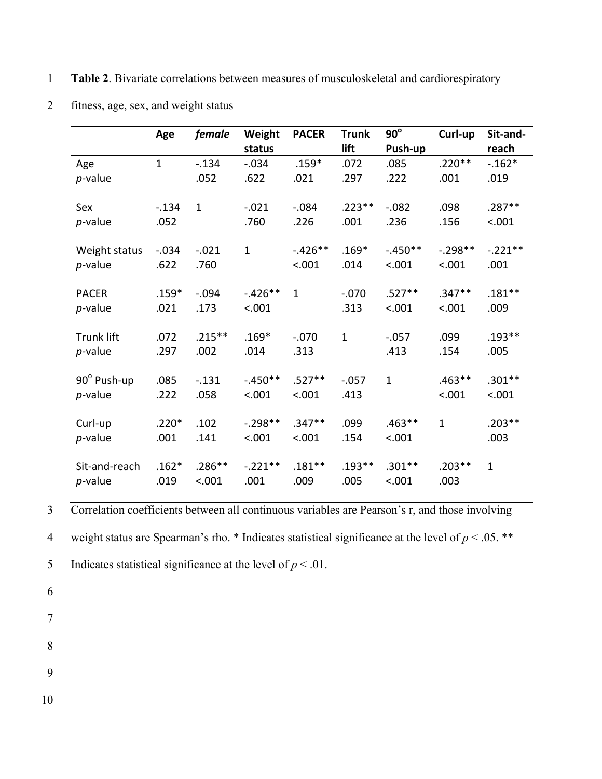1 **Table 2**. Bivariate correlations between measures of musculoskeletal and cardiorespiratory

|                   | Age          | female       | Weight       | <b>PACER</b> | <b>Trunk</b> | $90^\circ$   | Curl-up      | Sit-and-     |
|-------------------|--------------|--------------|--------------|--------------|--------------|--------------|--------------|--------------|
|                   |              |              | status       |              | lift         | Push-up      |              | reach        |
| Age               | $\mathbf{1}$ | $-.134$      | $-.034$      | $.159*$      | .072         | .085         | $.220**$     | $-.162*$     |
| $p$ -value        |              | .052         | .622         | .021         | .297         | .222         | .001         | .019         |
| Sex               | $-.134$      | $\mathbf{1}$ | $-.021$      | $-.084$      | $.223**$     | $-0.082$     | .098         | $.287**$     |
| $p$ -value        | .052         |              | .760         | .226         | .001         | .236         | .156         | < .001       |
| Weight status     | $-0.034$     | $-.021$      | $\mathbf{1}$ | $-.426**$    | $.169*$      | $-.450**$    | $-.298**$    | $-.221**$    |
| p-value           | .622         | .760         |              | < .001       | .014         | < .001       | < .001       | .001         |
| <b>PACER</b>      | $.159*$      | $-.094$      | $-.426**$    | $\mathbf{1}$ | $-.070$      | $.527**$     | $.347**$     | $.181**$     |
| p-value           | .021         | .173         | < .001       |              | .313         | < .001       | < .001       | .009         |
| <b>Trunk lift</b> | .072         | $.215***$    | $.169*$      | $-.070$      | $\mathbf{1}$ | $-.057$      | .099         | $.193**$     |
| $p$ -value        | .297         | .002         | .014         | .313         |              | .413         | .154         | .005         |
| 90° Push-up       | .085         | $-.131$      | $-.450**$    | $.527**$     | $-0.057$     | $\mathbf{1}$ | $.463**$     | $.301**$     |
| $p$ -value        | .222         | .058         | < .001       | < .001       | .413         |              | < .001       | < .001       |
| Curl-up           | $.220*$      | .102         | $-.298**$    | $.347**$     | .099         | $.463**$     | $\mathbf{1}$ | $.203**$     |
| $p$ -value        | .001         | .141         | < .001       | < .001       | .154         | < .001       |              | .003         |
| Sit-and-reach     | $.162*$      | $.286**$     | $-.221**$    | $.181***$    | $.193**$     | $.301**$     | $.203**$     | $\mathbf{1}$ |
| $p$ -value        | .019         | < .001       | .001         | .009         | .005         | < .001       | .003         |              |

2 fitness, age, sex, and weight status

3 Correlation coefficients between all continuous variables are Pearson's r, and those involving

4 weight status are Spearman's rho. \* Indicates statistical significance at the level of  $p < .05$ . \*\*

5 Indicates statistical significance at the level of  $p < .01$ .

- 6
- 7
- 8
- 9
- 
- 10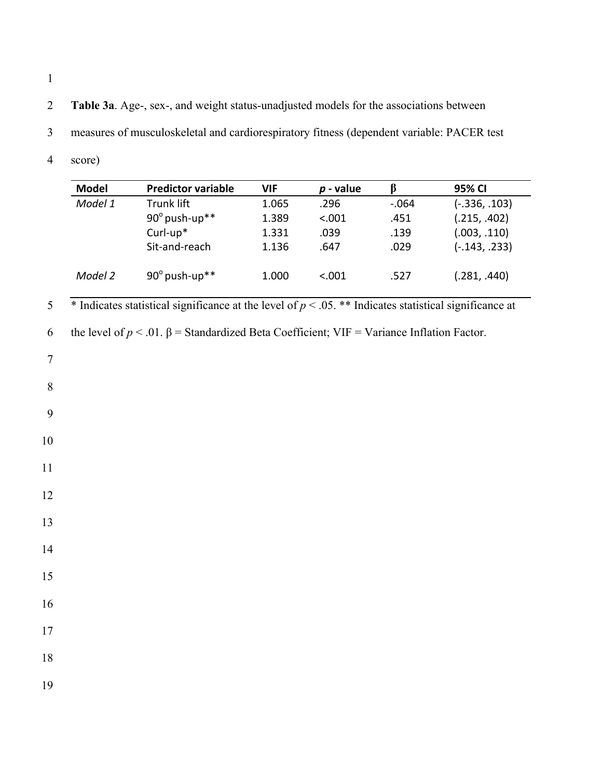- 2 **Table 3a**. Age-, sex-, and weight status-unadjusted models for the associations between
- 3 measures of musculoskeletal and cardiorespiratory fitness (dependent variable: PACER test
- 4 score)

| <b>Model</b>   |         | <b>Predictor variable</b>                                                                                 | <b>VIF</b> | $p$ - value | $\beta$ | 95% CI          |
|----------------|---------|-----------------------------------------------------------------------------------------------------------|------------|-------------|---------|-----------------|
|                | Model 1 | <b>Trunk lift</b>                                                                                         | 1.065      | .296        | $-.064$ | $(-.336, .103)$ |
|                |         | 90° push-up**                                                                                             | 1.389      | < .001      | .451    | (.215, .402)    |
|                |         | Curl-up*                                                                                                  | 1.331      | .039        | .139    | (.003, .110)    |
|                |         | Sit-and-reach                                                                                             | 1.136      | .647        | .029    | $(-.143, .233)$ |
|                | Model 2 | 90° push-up**                                                                                             | 1.000      | < .001      | .527    | (.281, .440)    |
| 5              |         | * Indicates statistical significance at the level of $p < .05$ . ** Indicates statistical significance at |            |             |         |                 |
| 6              |         | the level of $p < .01$ . $\beta$ = Standardized Beta Coefficient; VIF = Variance Inflation Factor.        |            |             |         |                 |
| $\overline{7}$ |         |                                                                                                           |            |             |         |                 |
| $\,8\,$        |         |                                                                                                           |            |             |         |                 |
| 9              |         |                                                                                                           |            |             |         |                 |
| 10             |         |                                                                                                           |            |             |         |                 |
| 11             |         |                                                                                                           |            |             |         |                 |
|                |         |                                                                                                           |            |             |         |                 |
| 12             |         |                                                                                                           |            |             |         |                 |
| 13             |         |                                                                                                           |            |             |         |                 |
| 14             |         |                                                                                                           |            |             |         |                 |
| 15             |         |                                                                                                           |            |             |         |                 |
| 16             |         |                                                                                                           |            |             |         |                 |
| 17             |         |                                                                                                           |            |             |         |                 |
|                |         |                                                                                                           |            |             |         |                 |
| 18             |         |                                                                                                           |            |             |         |                 |
| 19             |         |                                                                                                           |            |             |         |                 |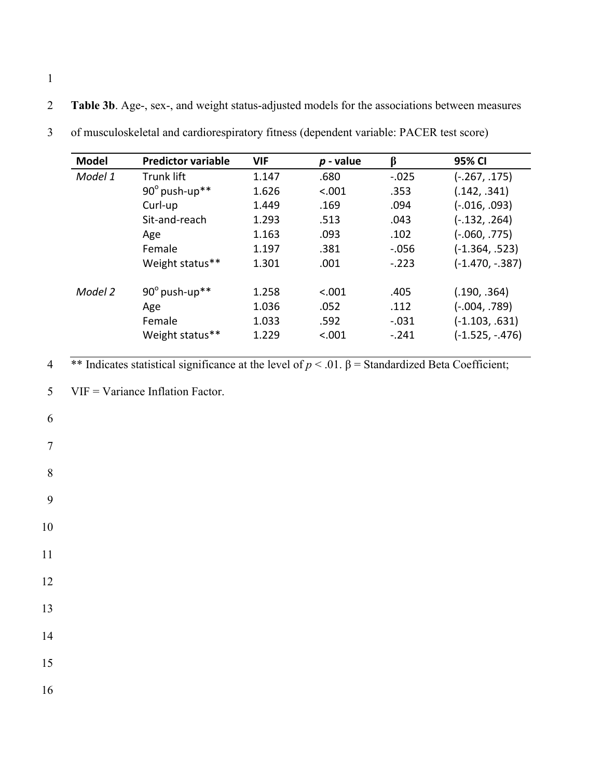2 **Table 3b**. Age-, sex-, and weight status-adjusted models for the associations between measures

| <b>Model</b> | <b>Predictor variable</b> | <b>VIF</b> | $p$ - value | ß       | 95% CI             |
|--------------|---------------------------|------------|-------------|---------|--------------------|
| Model 1      | Trunk lift                | 1.147      | .680        | $-.025$ | $(-.267, .175)$    |
|              | $90^\circ$ push-up**      | 1.626      | < .001      | .353    | (.142, .341)       |
|              | Curl-up                   | 1.449      | .169        | .094    | $(-.016, .093)$    |
|              | Sit-and-reach             | 1.293      | .513        | .043    | $(-.132, .264)$    |
|              | Age                       | 1.163      | .093        | .102    | (-.060, .775)      |
|              | Female                    | 1.197      | .381        | $-.056$ | $(-1.364, .523)$   |
|              | Weight status**           | 1.301      | .001        | $-.223$ | $(-1.470, -0.387)$ |
| Model 2      | $90^\circ$ push-up**      | 1.258      | < 0.01      | .405    | (.190, .364)       |
|              | Age                       | 1.036      | .052        | .112    | $(-.004, .789)$    |
|              | Female                    | 1.033      | .592        | $-.031$ | $(-1.103, .631)$   |
|              | Weight status**           | 1.229      | < .001      | $-.241$ | $(-1.525, -.476)$  |

3 of musculoskeletal and cardiorespiratory fitness (dependent variable: PACER test score)

4 \*\* Indicates statistical significance at the level of  $p < .01$ .  $\beta$  = Standardized Beta Coefficient;

5 VIF = Variance Inflation Factor.

1

6

7

8

9

10

11

12

13

14

15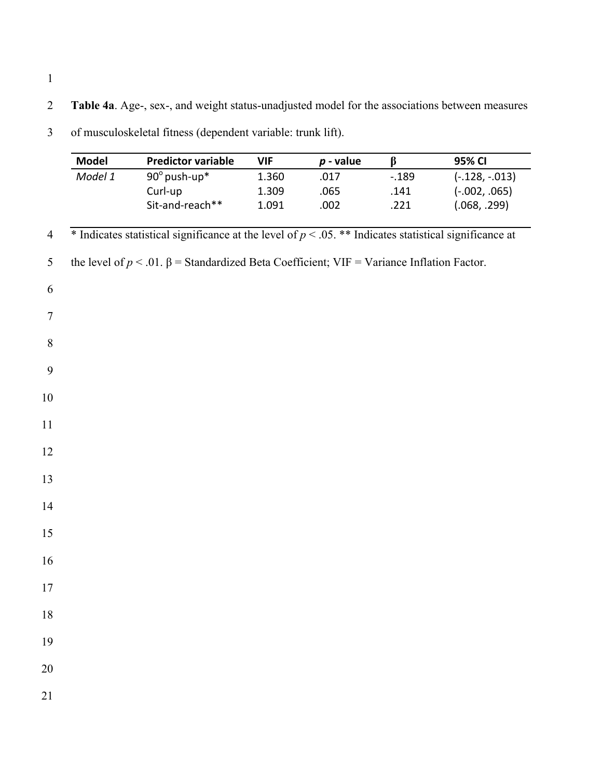2 **Table 4a**. Age-, sex-, and weight status-unadjusted model for the associations between measures

|                | <b>Model</b> | <b>Predictor variable</b>                                                                                   | <b>VIF</b> | $p$ - value | $\beta$ | 95% CI           |
|----------------|--------------|-------------------------------------------------------------------------------------------------------------|------------|-------------|---------|------------------|
|                | Model 1      | 90° push-up*                                                                                                | 1.360      | .017        | $-.189$ | $(-.128, -.013)$ |
|                |              | Curl-up                                                                                                     | 1.309      | .065        | .141    | $(-.002, .065)$  |
|                |              | Sit-and-reach**                                                                                             | 1.091      | .002        | .221    | (.068, .299)     |
| $\overline{4}$ |              | $*$ Indicates statistical significance at the level of $p < .05$ . ** Indicates statistical significance at |            |             |         |                  |
| 5              |              | the level of $p < .01$ . $\beta$ = Standardized Beta Coefficient; VIF = Variance Inflation Factor.          |            |             |         |                  |
| 6              |              |                                                                                                             |            |             |         |                  |
| $\tau$         |              |                                                                                                             |            |             |         |                  |
| $\,8\,$        |              |                                                                                                             |            |             |         |                  |
| 9              |              |                                                                                                             |            |             |         |                  |
| 10             |              |                                                                                                             |            |             |         |                  |
| 11             |              |                                                                                                             |            |             |         |                  |
| 12             |              |                                                                                                             |            |             |         |                  |
| 13             |              |                                                                                                             |            |             |         |                  |
| 14             |              |                                                                                                             |            |             |         |                  |
| 15             |              |                                                                                                             |            |             |         |                  |
| 16             |              |                                                                                                             |            |             |         |                  |
| 17             |              |                                                                                                             |            |             |         |                  |
| 18             |              |                                                                                                             |            |             |         |                  |
| 19             |              |                                                                                                             |            |             |         |                  |
| 20             |              |                                                                                                             |            |             |         |                  |
| 21             |              |                                                                                                             |            |             |         |                  |

3 of musculoskeletal fitness (dependent variable: trunk lift).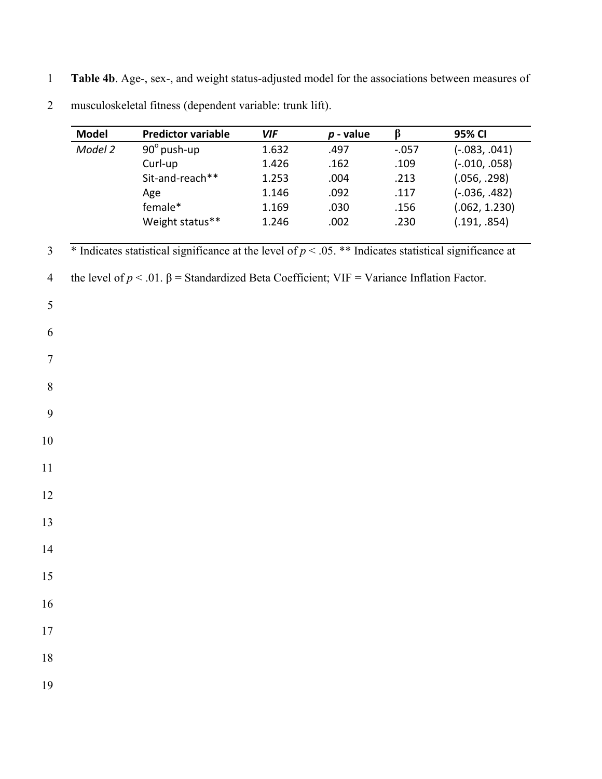1 **Table 4b**. Age-, sex-, and weight status-adjusted model for the associations between measures of

| <b>Model</b> | <b>Predictor variable</b>                                                                                   | <b>VIF</b> | $p$ - value | $\beta$  | 95% CI          |
|--------------|-------------------------------------------------------------------------------------------------------------|------------|-------------|----------|-----------------|
| Model 2      | 90° push-up                                                                                                 | 1.632      | .497        | $-0.057$ | $(-.083, .041)$ |
|              | Curl-up                                                                                                     | 1.426      | .162        | .109     | $(-.010, .058)$ |
|              | Sit-and-reach**                                                                                             | 1.253      | .004        | .213     | (.056, .298)    |
|              | Age                                                                                                         | 1.146      | .092        | .117     | $(-.036, .482)$ |
|              | female*                                                                                                     | 1.169      | .030        | .156     | (.062, 1.230)   |
|              | Weight status**                                                                                             | 1.246      | .002        | .230     | (.191, .854)    |
|              | $*$ Indicates statistical significance at the level of $p < .05$ . ** Indicates statistical significance at |            |             |          |                 |
|              | the level of $p < 0.01$ . $\beta$ = Standardized Beta Coefficient; VIF = Variance Inflation Factor.         |            |             |          |                 |
|              |                                                                                                             |            |             |          |                 |
|              |                                                                                                             |            |             |          |                 |
|              |                                                                                                             |            |             |          |                 |
|              |                                                                                                             |            |             |          |                 |
|              |                                                                                                             |            |             |          |                 |
|              |                                                                                                             |            |             |          |                 |
|              |                                                                                                             |            |             |          |                 |
|              |                                                                                                             |            |             |          |                 |
|              |                                                                                                             |            |             |          |                 |
|              |                                                                                                             |            |             |          |                 |
|              |                                                                                                             |            |             |          |                 |
|              |                                                                                                             |            |             |          |                 |
|              |                                                                                                             |            |             |          |                 |
|              |                                                                                                             |            |             |          |                 |
|              |                                                                                                             |            |             |          |                 |
|              |                                                                                                             |            |             |          |                 |
|              |                                                                                                             |            |             |          |                 |
|              |                                                                                                             |            |             |          |                 |
|              |                                                                                                             |            |             |          |                 |

2 musculoskeletal fitness (dependent variable: trunk lift).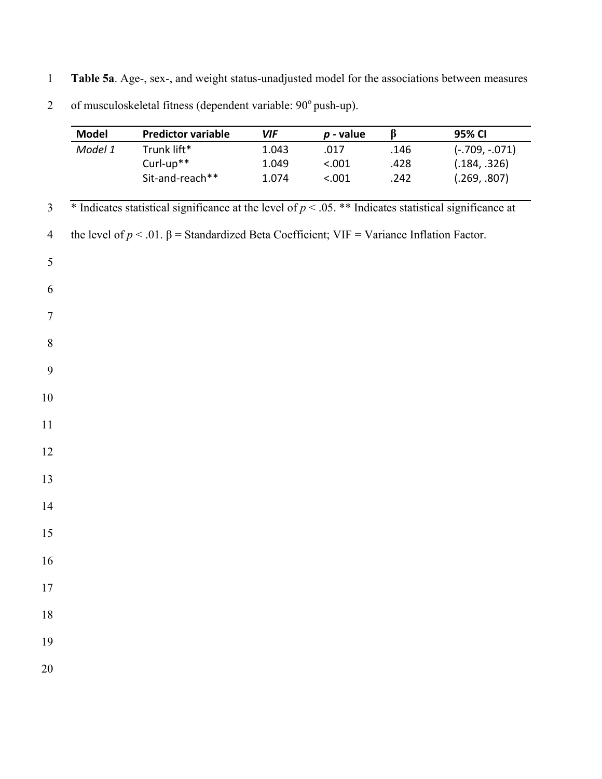1 **Table 5a**. Age-, sex-, and weight status-unadjusted model for the associations between measures

2 of musculoskeletal fitness (dependent variable:  $90^{\circ}$  push-up).

|                | <b>Model</b> | <b>Predictor variable</b>                                                                                 | <b>VIF</b> | $p$ - value | $\beta$ | 95% CI           |
|----------------|--------------|-----------------------------------------------------------------------------------------------------------|------------|-------------|---------|------------------|
|                | Model 1      | Trunk lift*                                                                                               | 1.043      | .017        | .146    | $(-.709, -.071)$ |
|                |              | Curl-up**                                                                                                 | 1.049      | < .001      | .428    | (.184, .326)     |
|                |              | Sit-and-reach**                                                                                           | 1.074      | < .001      | .242    | (.269, .807)     |
| $\overline{3}$ |              | * Indicates statistical significance at the level of $p < .05$ . ** Indicates statistical significance at |            |             |         |                  |
| $\overline{4}$ |              | the level of $p < .01$ . $\beta$ = Standardized Beta Coefficient; VIF = Variance Inflation Factor.        |            |             |         |                  |
| 5              |              |                                                                                                           |            |             |         |                  |
| 6              |              |                                                                                                           |            |             |         |                  |
| $\tau$         |              |                                                                                                           |            |             |         |                  |
| 8              |              |                                                                                                           |            |             |         |                  |
| 9              |              |                                                                                                           |            |             |         |                  |
| 10             |              |                                                                                                           |            |             |         |                  |
| 11             |              |                                                                                                           |            |             |         |                  |
| 12             |              |                                                                                                           |            |             |         |                  |
| 13             |              |                                                                                                           |            |             |         |                  |
| 14             |              |                                                                                                           |            |             |         |                  |
| 15             |              |                                                                                                           |            |             |         |                  |
| 16             |              |                                                                                                           |            |             |         |                  |
| 17             |              |                                                                                                           |            |             |         |                  |
| 18             |              |                                                                                                           |            |             |         |                  |
| 19             |              |                                                                                                           |            |             |         |                  |
| 20             |              |                                                                                                           |            |             |         |                  |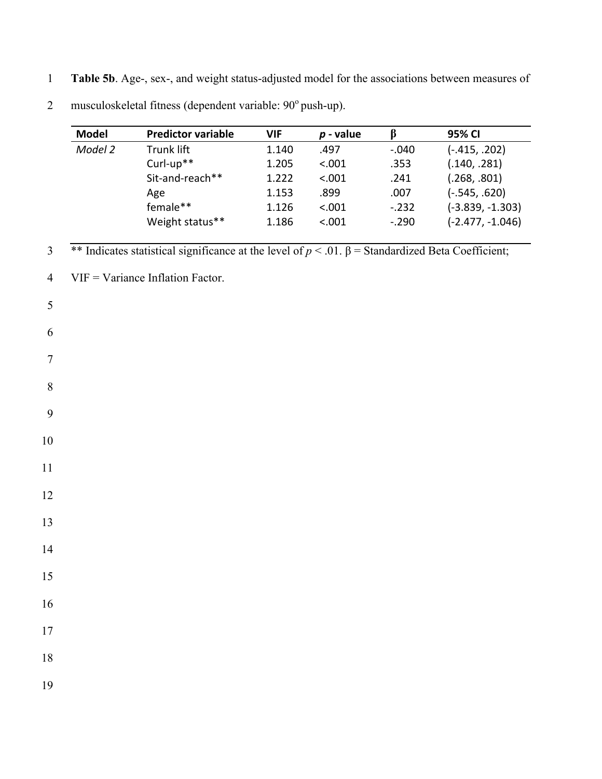1 **Table 5b**. Age-, sex-, and weight status-adjusted model for the associations between measures of

|                | <b>Model</b> | <b>Predictor variable</b>                                                                                   | <b>VIF</b> | $p$ - value | $\beta$ | 95% CI             |
|----------------|--------------|-------------------------------------------------------------------------------------------------------------|------------|-------------|---------|--------------------|
|                | Model 2      | Trunk lift                                                                                                  | 1.140      | .497        | $-.040$ | $(-.415, .202)$    |
|                |              | Curl-up**                                                                                                   | 1.205      | < .001      | .353    | (.140, .281)       |
|                |              | Sit-and-reach**                                                                                             | 1.222      | < .001      | .241    | (.268, .801)       |
|                |              | Age                                                                                                         | 1.153      | .899        | .007    | $(-.545, .620)$    |
|                |              | female**                                                                                                    | 1.126      | < .001      | $-.232$ | $(-3.839, -1.303)$ |
|                |              | Weight status**                                                                                             | 1.186      | < .001      | $-.290$ | $(-2.477, -1.046)$ |
|                |              |                                                                                                             |            |             |         |                    |
| $\mathfrak{Z}$ |              | ** Indicates statistical significance at the level of $p < 0.01$ . $\beta$ = Standardized Beta Coefficient; |            |             |         |                    |
| $\overline{4}$ |              | $VIF = Variance Inflation Factor.$                                                                          |            |             |         |                    |
| 5              |              |                                                                                                             |            |             |         |                    |
| 6              |              |                                                                                                             |            |             |         |                    |
|                |              |                                                                                                             |            |             |         |                    |
| $\tau$         |              |                                                                                                             |            |             |         |                    |
| $8\,$          |              |                                                                                                             |            |             |         |                    |
|                |              |                                                                                                             |            |             |         |                    |
| 9              |              |                                                                                                             |            |             |         |                    |
| 10             |              |                                                                                                             |            |             |         |                    |
| 11             |              |                                                                                                             |            |             |         |                    |
| 12             |              |                                                                                                             |            |             |         |                    |
|                |              |                                                                                                             |            |             |         |                    |
| 13             |              |                                                                                                             |            |             |         |                    |
| 14             |              |                                                                                                             |            |             |         |                    |
| 15             |              |                                                                                                             |            |             |         |                    |
|                |              |                                                                                                             |            |             |         |                    |
| 16             |              |                                                                                                             |            |             |         |                    |
| 17             |              |                                                                                                             |            |             |         |                    |
| $18\,$         |              |                                                                                                             |            |             |         |                    |
|                |              |                                                                                                             |            |             |         |                    |
| 19             |              |                                                                                                             |            |             |         |                    |

2 musculoskeletal fitness (dependent variable:  $90^{\circ}$  push-up).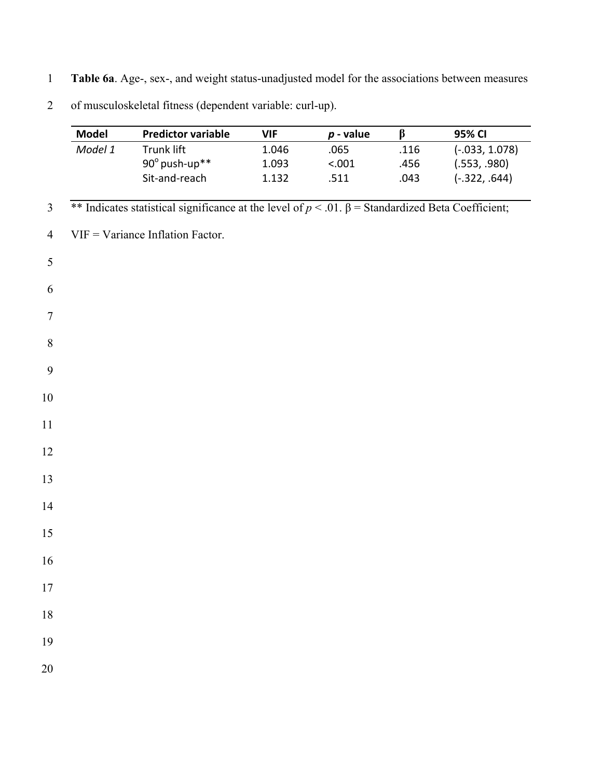- 1 **Table 6a**. Age-, sex-, and weight status-unadjusted model for the associations between measures
- 2 of musculoskeletal fitness (dependent variable: curl-up).

|                  | <b>Model</b> | <b>Predictor variable</b>                                                                                  | <b>VIF</b> | $p$ - value | $\beta$ | 95% CI           |
|------------------|--------------|------------------------------------------------------------------------------------------------------------|------------|-------------|---------|------------------|
|                  | Model 1      | Trunk lift                                                                                                 | 1.046      | .065        | .116    | $(-.033, 1.078)$ |
|                  |              | 90° push-up**                                                                                              | 1.093      | < .001      | .456    | (.553, .980)     |
|                  |              | Sit-and-reach                                                                                              | 1.132      | .511        | .043    | $(-.322, .644)$  |
| $\overline{3}$   |              | ** Indicates statistical significance at the level of $p < .01$ . $\beta$ = Standardized Beta Coefficient; |            |             |         |                  |
| $\overline{4}$   |              | $VIF = Variance Inflation Factor.$                                                                         |            |             |         |                  |
| 5                |              |                                                                                                            |            |             |         |                  |
| 6                |              |                                                                                                            |            |             |         |                  |
| $\tau$           |              |                                                                                                            |            |             |         |                  |
| $\, 8$           |              |                                                                                                            |            |             |         |                  |
| $\boldsymbol{9}$ |              |                                                                                                            |            |             |         |                  |
| $10\,$           |              |                                                                                                            |            |             |         |                  |
| 11               |              |                                                                                                            |            |             |         |                  |
| 12               |              |                                                                                                            |            |             |         |                  |
| 13               |              |                                                                                                            |            |             |         |                  |
| 14               |              |                                                                                                            |            |             |         |                  |
| 15               |              |                                                                                                            |            |             |         |                  |
| 16               |              |                                                                                                            |            |             |         |                  |
| $17\,$           |              |                                                                                                            |            |             |         |                  |
| $18\,$           |              |                                                                                                            |            |             |         |                  |
| 19               |              |                                                                                                            |            |             |         |                  |
| 20               |              |                                                                                                            |            |             |         |                  |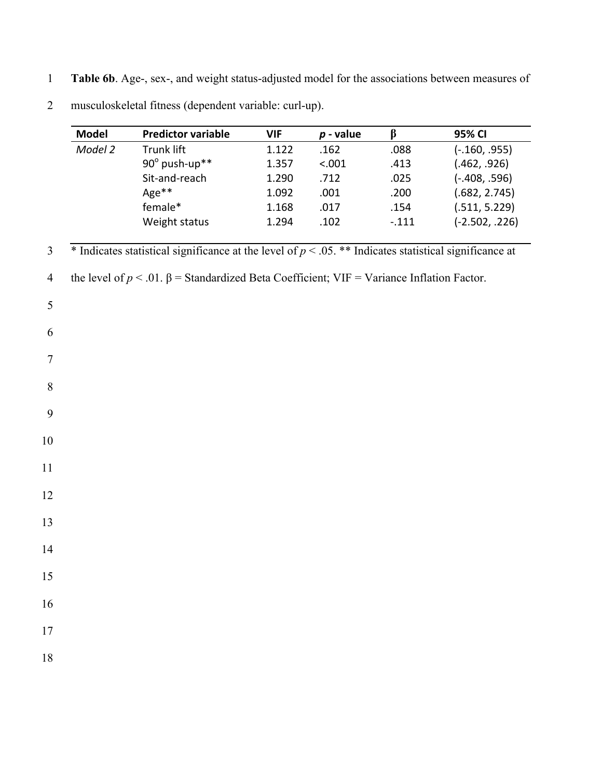1 **Table 6b**. Age-, sex-, and weight status-adjusted model for the associations between measures of

|                | <b>Model</b> | <b>Predictor variable</b>                                                                                   | <b>VIF</b> | $p$ - value | $\beta$ | 95% CI           |
|----------------|--------------|-------------------------------------------------------------------------------------------------------------|------------|-------------|---------|------------------|
|                | Model 2      | <b>Trunk lift</b>                                                                                           | 1.122      | .162        | .088    | $(-.160, .955)$  |
|                |              | 90° push-up**                                                                                               | 1.357      | < .001      | .413    | (.462, .926)     |
|                |              | Sit-and-reach                                                                                               | 1.290      | .712        | .025    | $(-.408, .596)$  |
|                |              | Age**                                                                                                       | 1.092      | .001        | .200    | (.682, 2.745)    |
|                |              | female*                                                                                                     | 1.168      | .017        | .154    | (.511, 5.229)    |
|                |              | Weight status                                                                                               | 1.294      | .102        | $-.111$ | $(-2.502, .226)$ |
| $\mathfrak{Z}$ |              | $*$ Indicates statistical significance at the level of $p < .05$ . ** Indicates statistical significance at |            |             |         |                  |
| $\overline{4}$ |              | the level of $p < 0.01$ . $\beta$ = Standardized Beta Coefficient; VIF = Variance Inflation Factor.         |            |             |         |                  |
| 5              |              |                                                                                                             |            |             |         |                  |
| 6              |              |                                                                                                             |            |             |         |                  |
| $\tau$         |              |                                                                                                             |            |             |         |                  |
| 8              |              |                                                                                                             |            |             |         |                  |
| 9              |              |                                                                                                             |            |             |         |                  |
| 10             |              |                                                                                                             |            |             |         |                  |
| 11             |              |                                                                                                             |            |             |         |                  |
| 12             |              |                                                                                                             |            |             |         |                  |
| 13             |              |                                                                                                             |            |             |         |                  |
| 14             |              |                                                                                                             |            |             |         |                  |
| 15             |              |                                                                                                             |            |             |         |                  |
| 16             |              |                                                                                                             |            |             |         |                  |
| 17             |              |                                                                                                             |            |             |         |                  |
| 18             |              |                                                                                                             |            |             |         |                  |

2 musculoskeletal fitness (dependent variable: curl-up).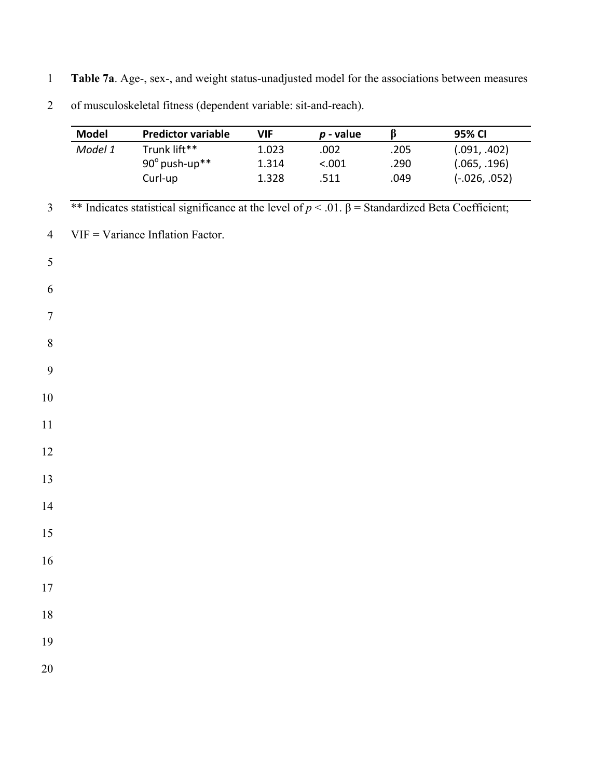1 **Table 7a**. Age-, sex-, and weight status-unadjusted model for the associations between measures

| of musculoskeletal fitness (dependent variable: sit-and-reach).<br>$\overline{2}$ |  |  |  |  |  |  |  |  |  |
|-----------------------------------------------------------------------------------|--|--|--|--|--|--|--|--|--|
|-----------------------------------------------------------------------------------|--|--|--|--|--|--|--|--|--|

|                  | <b>Model</b> | <b>Predictor variable</b>                                                                                   | <b>VIF</b> | $p$ - value | $\beta$ | 95% CI          |
|------------------|--------------|-------------------------------------------------------------------------------------------------------------|------------|-------------|---------|-----------------|
|                  | Model 1      | Trunk lift**                                                                                                | 1.023      | .002        | .205    | (.091, .402)    |
|                  |              | 90° push-up**                                                                                               | 1.314      | < .001      | .290    | (.065, .196)    |
|                  |              | Curl-up                                                                                                     | 1.328      | .511        | .049    | $(-.026, .052)$ |
| $\mathfrak{Z}$   |              | ** Indicates statistical significance at the level of $p < 0.01$ . $\beta$ = Standardized Beta Coefficient; |            |             |         |                 |
| $\overline{4}$   |              | $VIF = Variance Inflation Factor.$                                                                          |            |             |         |                 |
| 5                |              |                                                                                                             |            |             |         |                 |
| 6                |              |                                                                                                             |            |             |         |                 |
| $\tau$           |              |                                                                                                             |            |             |         |                 |
| $\,8\,$          |              |                                                                                                             |            |             |         |                 |
| $\boldsymbol{9}$ |              |                                                                                                             |            |             |         |                 |
| $10\,$           |              |                                                                                                             |            |             |         |                 |
| 11               |              |                                                                                                             |            |             |         |                 |
| 12               |              |                                                                                                             |            |             |         |                 |
| 13               |              |                                                                                                             |            |             |         |                 |
| 14               |              |                                                                                                             |            |             |         |                 |
| 15               |              |                                                                                                             |            |             |         |                 |
| 16               |              |                                                                                                             |            |             |         |                 |
| $17$             |              |                                                                                                             |            |             |         |                 |
| $18\,$           |              |                                                                                                             |            |             |         |                 |
| 19               |              |                                                                                                             |            |             |         |                 |
| 20               |              |                                                                                                             |            |             |         |                 |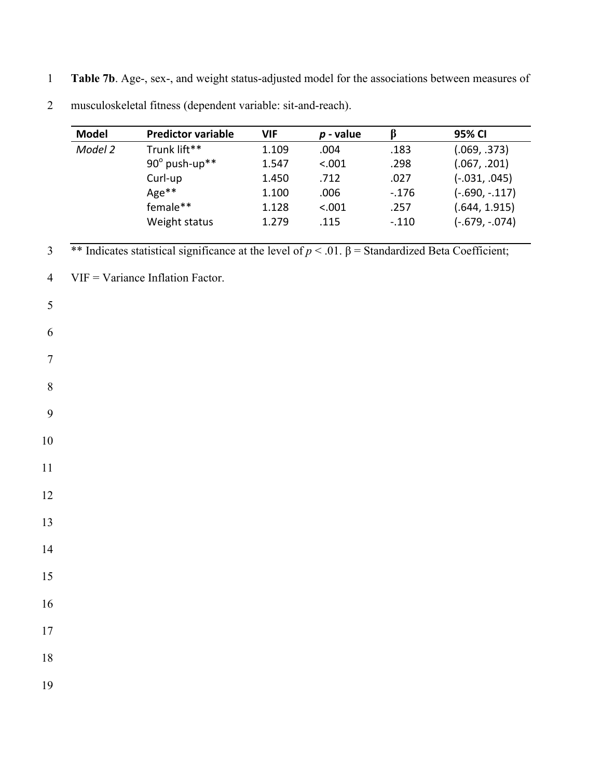1 **Table 7b**. Age-, sex-, and weight status-adjusted model for the associations between measures of

| <b>Model</b> | <b>Predictor variable</b>                                                                                   | <b>VIF</b> | $p$ - value | $\beta$  | 95% CI           |
|--------------|-------------------------------------------------------------------------------------------------------------|------------|-------------|----------|------------------|
| Model 2      | Trunk lift**                                                                                                | 1.109      | .004        | .183     | (.069, .373)     |
|              | 90° push-up**                                                                                               | 1.547      | < .001      | .298     | (.067, .201)     |
|              | Curl-up                                                                                                     | 1.450      | .712        | .027     | $(-.031, .045)$  |
|              | Age**                                                                                                       | 1.100      | .006        | $-0.176$ | $(-.690, -.117)$ |
|              | female**                                                                                                    | 1.128      | < .001      | .257     | (.644, 1.915)    |
|              | Weight status                                                                                               | 1.279      | .115        | $-.110$  | $(-.679, -.074)$ |
|              | ** Indicates statistical significance at the level of $p < 0.01$ . $\beta$ = Standardized Beta Coefficient; |            |             |          |                  |
|              | $VIF = Variance Inflation Factor.$                                                                          |            |             |          |                  |
|              |                                                                                                             |            |             |          |                  |
|              |                                                                                                             |            |             |          |                  |
|              |                                                                                                             |            |             |          |                  |
|              |                                                                                                             |            |             |          |                  |
|              |                                                                                                             |            |             |          |                  |
|              |                                                                                                             |            |             |          |                  |
|              |                                                                                                             |            |             |          |                  |
|              |                                                                                                             |            |             |          |                  |
|              |                                                                                                             |            |             |          |                  |
|              |                                                                                                             |            |             |          |                  |
|              |                                                                                                             |            |             |          |                  |
|              |                                                                                                             |            |             |          |                  |
|              |                                                                                                             |            |             |          |                  |
|              |                                                                                                             |            |             |          |                  |
|              |                                                                                                             |            |             |          |                  |
|              |                                                                                                             |            |             |          |                  |
|              |                                                                                                             |            |             |          |                  |

2 musculoskeletal fitness (dependent variable: sit-and-reach).